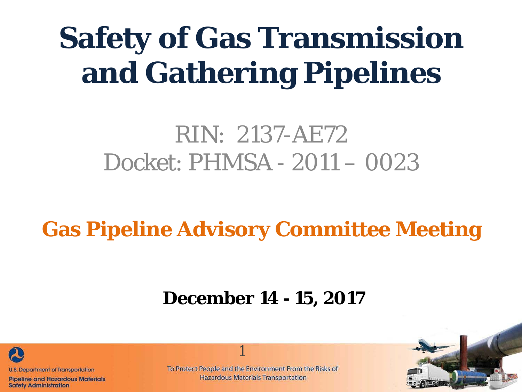# **Safety of Gas Transmission and Gathering Pipelines**

## RIN: 2137-AE72 Docket: PHMSA - 2011 – 0023

**Gas Pipeline Advisory Committee Meeting**

#### **December 14 - 15, 2017**



**Pipeline and Hazardous Materials Safety Administration** 

To Protect People and the Environment From the Risks of **Hazardous Materials Transportation** 

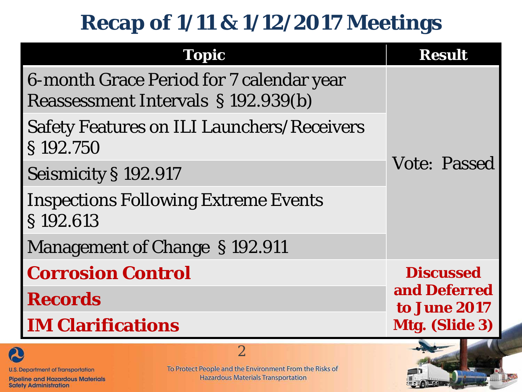## **Recap of 1/11 & 1/12/2017 Meetings**

| <b>Topic</b>                                                                    | <b>Result</b>                |  |  |
|---------------------------------------------------------------------------------|------------------------------|--|--|
| 6-month Grace Period for 7 calendar year<br>Reassessment Intervals § 192.939(b) |                              |  |  |
| <b>Safety Features on ILI Launchers/Receivers</b><br>§192.750                   |                              |  |  |
| Seismicity § 192.917                                                            | <b>Vote: Passed</b>          |  |  |
| <b>Inspections Following Extreme Events</b><br>§192.613                         |                              |  |  |
| Management of Change §192.911                                                   |                              |  |  |
| <b>Corrosion Control</b>                                                        | <b>Discussed</b>             |  |  |
| <b>Records</b>                                                                  | and Deferred<br>to June 2017 |  |  |
| <b>IM Clarifications</b>                                                        | Mtg. (Slide 3)               |  |  |
| $\overline{2}$                                                                  |                              |  |  |

**U.S. Department of Transportation** 

**Pipeline and Hazardous Materials Safety Administration** 

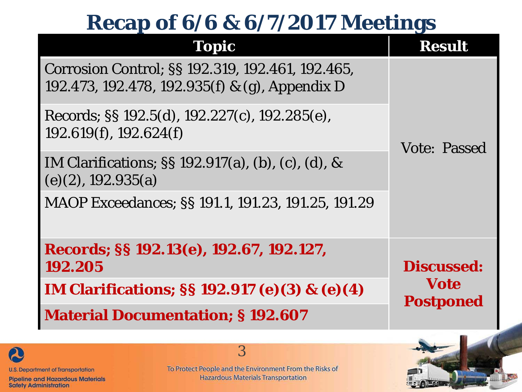#### **Recap of 6/6 & 6/7/2017 Meetings**

| Topic                                                                                              | <b>Result</b>                   |
|----------------------------------------------------------------------------------------------------|---------------------------------|
| Corrosion Control; §§ 192.319, 192.461, 192.465,<br>192.473, 192.478, 192.935(f) & (g), Appendix D |                                 |
| Records; §§ 192.5(d), 192.227(c), 192.285(e),<br>192.619(f), 192.624(f)                            | <b>Vote: Passed</b>             |
| IM Clarifications; $\S$ 192.917(a), (b), (c), (d), &<br>(e)(2), 192.935(a)                         |                                 |
| MAOP Exceedances; SS 191.1, 191.23, 191.25, 191.29                                                 |                                 |
| Records; §§ 192.13(e), 192.67, 192.127,<br>192.205                                                 | <b>Discussed:</b>               |
| IM Clarifications; §§ 192.917 (e)(3) & (e)(4)                                                      | <b>Vote</b><br><b>Postponed</b> |
| <b>Material Documentation; §192.607</b>                                                            |                                 |



**Pipeline and Hazardous Materials Safety Administration** 

To Protect People and the Environment From the Risks of **Hazardous Materials Transportation** 

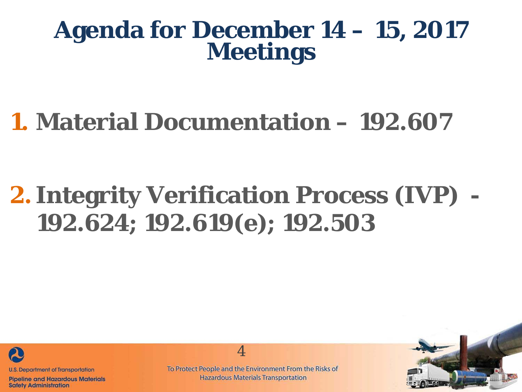#### **Agenda for December 14 – 15, 2017 Meetings**

# **1. Material Documentation – 192.607**

# **2. Integrity Verification Process (IVP) - 192.624; 192.619(e); 192.503**



**Pipeline and Hazardous Materials Safety Administration** 

To Protect People and the Environment From the Risks of **Hazardous Materials Transportation** 

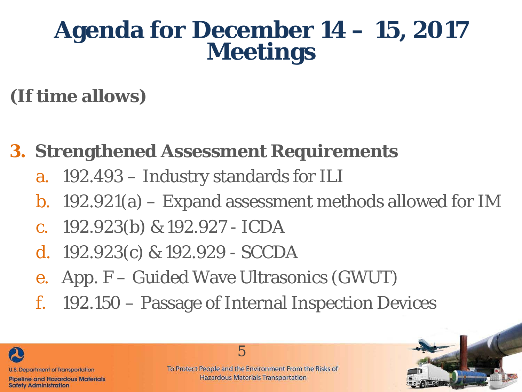#### **Agenda for December 14 – 15, 2017 Meetings**

#### **(If time allows)**

- **3. Strengthened Assessment Requirements**
	- a. 192.493 Industry standards for ILI
	- b. 192.921(a) Expand assessment methods allowed for IM
	- c. 192.923(b) & 192.927 ICDA
	- d. 192.923(c) & 192.929 SCCDA
	- e. App. F Guided Wave Ultrasonics (GWUT)
	- f. 192.150 Passage of Internal Inspection Devices

5



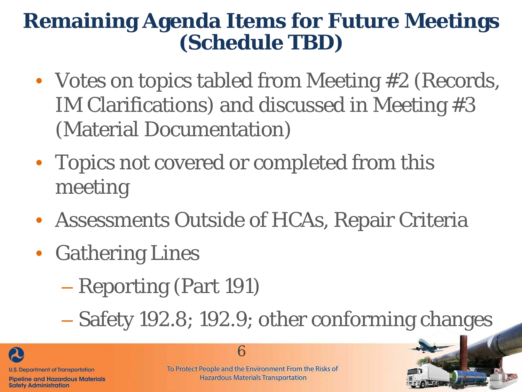#### **Remaining Agenda Items for Future Meetings (Schedule TBD)**

- Votes on topics tabled from Meeting #2 (Records, IM Clarifications) and discussed in Meeting #3 (Material Documentation)
- Topics not covered or completed from this meeting
- Assessments Outside of HCAs, Repair Criteria
- Gathering Lines
	- Reporting (Part 191)

– Safety 192.8; 192.9; other conforming changes



**Safety Administration** 

To Protect People and the Environment From the Risks of **Hazardous Materials Transportation** 

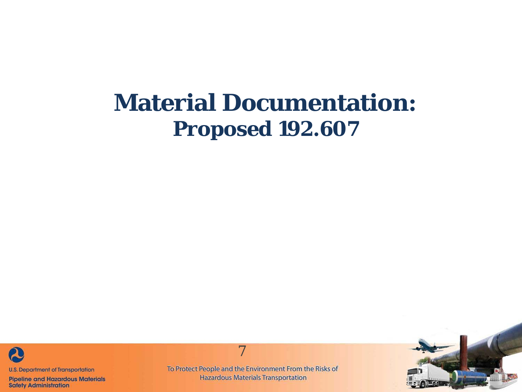#### **Material Documentation: Proposed 192.607**



**Pipeline and Hazardous Materials Safety Administration** 

To Protect People and the Environment From the Risks of **Hazardous Materials Transportation** 

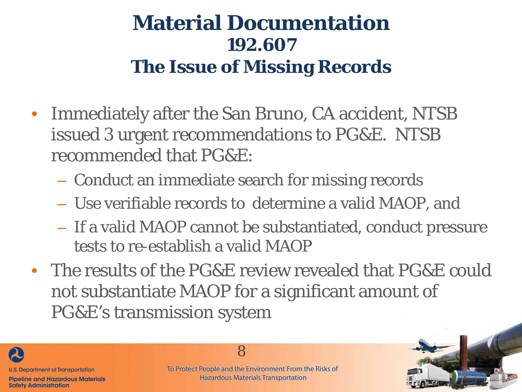#### **Material Documentation 192.607 The Issue of Missing Records**

- Immediately after the San Bruno, CA accident, NTSB issued 3 urgent recommendations to PG&E. NTSB recommended that PG&E:
	- Conduct an immediate search for missing records
	- Use verifiable records to determine a valid MAOP, and
	- If a valid MAOP cannot be substantiated, conduct pressure tests to re-establish a valid MAOP
- The results of the PG&E review revealed that PG&E could not substantiate MAOP for a significant amount of PG&E's transmission system



To Protect People and the Environment From the Risks of **Hazardous Materials Transportation** 

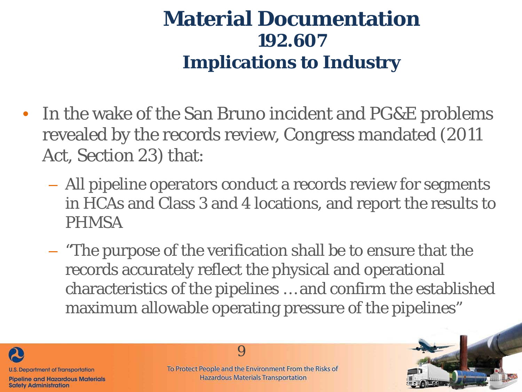- In the wake of the San Bruno incident and PG&E problems revealed by the records review, Congress mandated (2011 Act, Section 23) that:
	- All pipeline operators conduct a records review for segments in HCAs and Class 3 and 4 locations, and report the results to PHMSA
	- "The purpose of the verification shall be to ensure that the records accurately reflect the physical and operational characteristics of the pipelines … and confirm the established maximum allowable operating pressure of the pipelines"



To Protect People and the Environment From the Risks of **Hazardous Materials Transportation** 

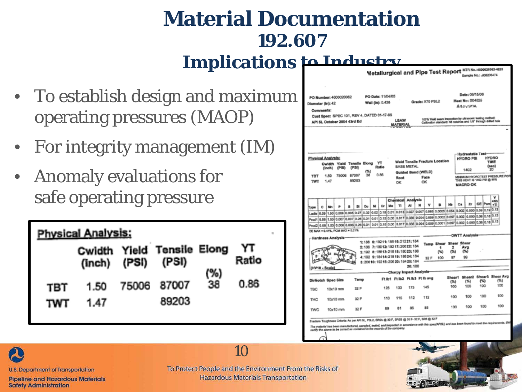- To establish design and maximum operating pressures (MAOP)
- For integrity management (IM)
- Anomaly evaluations for safe operating pressure

|                   | <b>Physical Analysis:</b> |       |                            |     |             |  |  |  |  |  |  |  |  |  |
|-------------------|---------------------------|-------|----------------------------|-----|-------------|--|--|--|--|--|--|--|--|--|
|                   | $(inch)$ $(PSI)$ $(PSI)$  |       | Cwidth Yield Tensile Elong | (%) | YΤ<br>Ratio |  |  |  |  |  |  |  |  |  |
| TBT<br><b>TWT</b> | 1.50<br>1.47              | 75006 | 87007<br>89203             | 38  | 0.86        |  |  |  |  |  |  |  |  |  |

|                                                                                                                                                  |              |                                     |   |                |      |    |                                       |    |                                                                                                 |                                  |                 |      |                                    |          |    |                                               | Gample No.; utotatowi e                                                                                                   |                                              |
|--------------------------------------------------------------------------------------------------------------------------------------------------|--------------|-------------------------------------|---|----------------|------|----|---------------------------------------|----|-------------------------------------------------------------------------------------------------|----------------------------------|-----------------|------|------------------------------------|----------|----|-----------------------------------------------|---------------------------------------------------------------------------------------------------------------------------|----------------------------------------------|
| PO Number: 4600020362<br>Diameter (In): 42<br>Comments:                                                                                          |              |                                     |   |                |      |    | PO Date: 11/04/05<br>Wall (in): 0.438 |    |                                                                                                 |                                  | Grade: X70 PSL2 |      |                                    |          |    | Date: 08/15/06<br>Heat No: 504825<br>AZOVSTAL |                                                                                                                           |                                              |
| Cust Spec: SPEC 101, REV 4, DATED 01-17-06<br>API SL October 2004 43rd Ed                                                                        |              |                                     |   |                |      |    |                                       |    | <b>LSAW</b><br><b>MATERIA</b>                                                                   |                                  |                 |      |                                    |          |    |                                               | 100% Weld sears impection by ultrasonic testing method;<br>Calibration standard: NS notches and 1/8" through drilled hole |                                              |
|                                                                                                                                                  |              |                                     |   |                |      |    |                                       |    |                                                                                                 |                                  |                 |      |                                    |          |    |                                               |                                                                                                                           |                                              |
| Physical Analysis:                                                                                                                               | (Inch)       | Cwidth Yield Tensile Elong<br>(PSI) |   | (PSB)          | הר   |    | YT<br>Ratio                           |    |                                                                                                 | BASE METAL<br>Guided Bend (WELD) |                 |      | Weld Tensile Fracture Location     |          |    | HYDRO PSI<br>1402                             | <b>Hydrostatic Test-</b>                                                                                                  | <b>HYDRO</b><br>TIME<br>(000)<br>20          |
| <b>TBT</b><br>TWT                                                                                                                                | 1.50<br>1.47 | 75006                               |   | 87007<br>89203 | 38   |    | 0.88                                  |    | Root<br>OК                                                                                      |                                  | OК              | Face |                                    |          |    | <b>MACRO OK</b>                               | THIS HEAT IS 1402 PSI @ MYL                                                                                               | MINIMUM HYDROTEST PRESSURE FOR               |
|                                                                                                                                                  |              |                                     | s | 51             | Cu   | NI | c.                                    | Mo | <b>Chemical Analysis</b><br>'n                                                                  | м                                | w               |      |                                    | Nb       | Ĉ8 | Zr                                            | CE Pum +TI                                                                                                                | v<br>4805                                    |
| ۰<br>Type<br>Ladie 0.00                                                                                                                          | Mn           |                                     |   |                |      |    |                                       |    |                                                                                                 |                                  |                 |      |                                    |          |    |                                               | 1.50 0.006 0.005 0.27 0.02 0.02 0.18 0.01 0.013 0.027 0.027 0.061 0.005 0.064 0.002 0.000 0.39 0.19 0.13                  |                                              |
| Prod 1 0.08 (1.53) 0.007 0.007 0.26                                                                                                              |              |                                     |   |                | 0.01 |    |                                       |    |                                                                                                 |                                  |                 |      |                                    |          |    |                                               | 0.01   0.15   0.00   0.017   0.036   0.004   0.069   0.000   0.007   0.000   0.36   0.18   0.13                           |                                              |
| 0.1.0   0.00   0.00   0.000   0.000   0.000   0.000   0.000   0.000   0.000   0.000   0.000   0.000   0.000   0.000   0.000   0.30   0.18   0.13 |              |                                     |   |                |      |    |                                       |    |                                                                                                 |                                  |                 |      |                                    |          |    |                                               |                                                                                                                           |                                              |
| CE MAX = 0.41%, PCM MAX = 0.21%                                                                                                                  |              |                                     |   |                |      |    |                                       |    |                                                                                                 |                                  |                 |      |                                    |          |    |                                               |                                                                                                                           |                                              |
| -Hardness Analysis-                                                                                                                              |              |                                     |   |                |      |    |                                       |    |                                                                                                 |                                  |                 |      |                                    |          |    | <b>OWTT Analysis</b>                          |                                                                                                                           |                                              |
|                                                                                                                                                  |              |                                     |   |                |      |    |                                       |    | 1:188 6:19211:18816:21221:184<br>2:188 7:18012:19217:20022:184<br>3:192 8:18813:21818:18023:188 |                                  |                 |      | Temp Shear Shear Shear<br>1<br>(%) | 2<br>C%) |    | Ava<br>(5)                                    |                                                                                                                           |                                              |
|                                                                                                                                                  |              |                                     |   |                |      |    |                                       |    | 4:192 9:18414:21819:18824:184                                                                   |                                  |                 | 32 F | 100                                | 97       |    | 99                                            |                                                                                                                           |                                              |
| (HV10 - Scale)                                                                                                                                   |              |                                     |   |                |      |    |                                       |    | \$: 206 10: 192 15: 206 20: 184 25: 184                                                         | 26:180                           |                 |      |                                    |          |    |                                               |                                                                                                                           |                                              |
|                                                                                                                                                  |              |                                     |   |                |      |    |                                       |    | Charpy Impact Analysis-                                                                         |                                  |                 |      |                                    |          |    |                                               |                                                                                                                           |                                              |
| DirNotch Spec Size                                                                                                                               |              |                                     |   | Temp           |      |    |                                       |    | <b>FLIb1 FLIb2 FLIb3 FLIbavg</b>                                                                |                                  |                 |      |                                    | (%)      |    | (55)<br>100                                   | UW)<br>100                                                                                                                | Shear1 Shear2 Shear3 Shear Avg<br>(%)<br>100 |
| TBC                                                                                                                                              |              | 10x10 mm                            |   | 32 F           |      |    | 128                                   |    | 133                                                                                             | 173                              |                 | 145  |                                    | 100      |    |                                               |                                                                                                                           |                                              |
| THO                                                                                                                                              |              | 10x10 mm                            |   | 32 F           |      |    | 110                                   |    | 115                                                                                             | 112                              |                 | 112  |                                    | 100      |    | 100                                           | 100                                                                                                                       | 100                                          |
|                                                                                                                                                  | 10x10 mm     |                                     |   | 32 F           |      |    |                                       | R9 | 81                                                                                              | 85                               |                 | 85   |                                    | 100      |    | 100                                           | 100                                                                                                                       | 100                                          |





**U.S. Department of Transportation** 

**Pipeline and Hazardous Materials Safety Administration** 

To Protect People and the Environment From the Risks of **Hazardous Materials Transportation**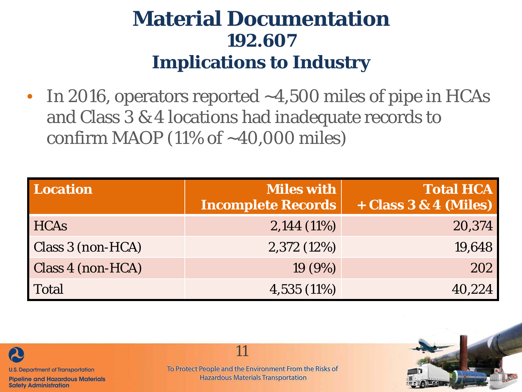In 2016, operators reported  $~1.500$  miles of pipe in HCAs and Class 3 & 4 locations had inadequate records to confirm MAOP (11% of  $\sim$ 40,000 miles)

| Location          | <b>Miles with</b><br><b>Incomplete Records</b> | <b>Total HCA</b><br>$+ Class 3 & 4 (Miles)$ |
|-------------------|------------------------------------------------|---------------------------------------------|
| <b>HCAs</b>       | $2,144(11\%)$                                  | 20,374                                      |
| Class 3 (non-HCA) | 2,372(12%)                                     | 19,648                                      |
| Class 4 (non-HCA) | 19(9%)                                         | 202                                         |
| Total             | $4,535(11\%)$                                  | 40,224                                      |



**U.S. Department of Transportation** 

**Pipeline and Hazardous Materials Safety Administration**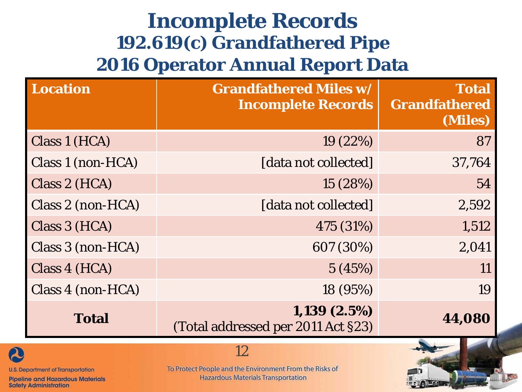#### **Incomplete Records 192.619(c) Grandfathered Pipe 2016 Operator Annual Report Data**

| <b>Location</b>   | <b>Grandfathered Miles w/</b><br><b>Incomplete Records</b> | <b>Total</b><br>Grandfathered<br>(Miles) |
|-------------------|------------------------------------------------------------|------------------------------------------|
| Class 1 (HCA)     | 19 (22%)                                                   | 87                                       |
| Class 1 (non-HCA) | [data not collected]                                       | 37,764                                   |
| Class 2 (HCA)     | 15 (28%)                                                   | 54                                       |
| Class 2 (non-HCA) | [data not collected]                                       | 2,592                                    |
| Class 3 (HCA)     | 475 (31%)                                                  | 1,512                                    |
| Class 3 (non-HCA) | 607 (30%)                                                  | 2,041                                    |
| Class 4 (HCA)     | 5(45%)                                                     | 11                                       |
| Class 4 (non-HCA) | 18 (95%)                                                   | 19                                       |
| <b>Total</b>      | 1,139(2.5%)<br>(Total addressed per 2011 Act §23)          | 44,080                                   |



**U.S. Department of Transportation** 

**Pipeline and Hazardous Materials Safety Administration** 

#### 12

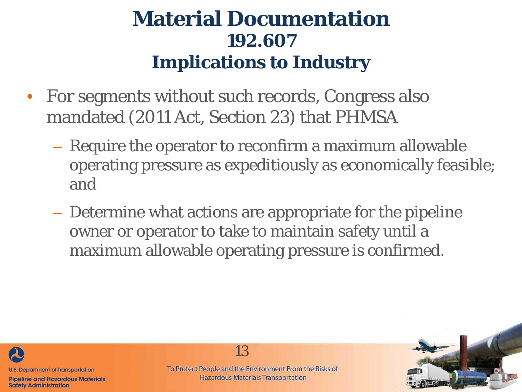- For segments without such records, Congress also mandated (2011 Act, Section 23) that PHMSA
	- Require the operator to reconfirm a maximum allowable operating pressure as expeditiously as economically feasible; and
	- Determine what actions are appropriate for the pipeline owner or operator to take to maintain safety until a maximum allowable operating pressure is confirmed.



**Safety Administration** 

13

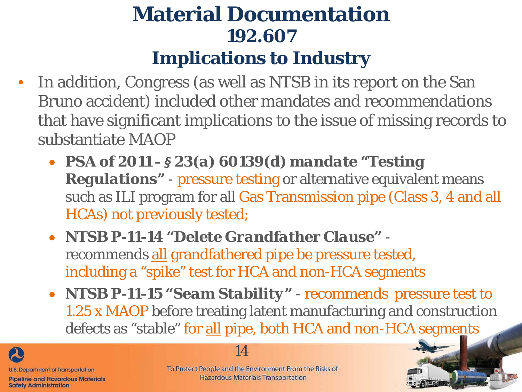- In addition, Congress (as well as NTSB in its report on the San Bruno accident) included other mandates and recommendations that have significant implications to the issue of missing records to substantiate MAOP
	- *PSA of 2011 - § 23(a) 60139(d) mandate "Testing Regulations"* - pressure testing or alternative equivalent means such as ILI program for all Gas Transmission pipe (Class 3, 4 and all HCAs) not previously tested;
	- *NTSB P-11-14 "Delete Grandfather Clause"* recommends all grandfathered pipe be pressure tested, including a "spike" test for HCA and non-HCA segments
	- *NTSB P-11-15 "Seam Stability"* recommends pressure test to 1.25 x MAOP before treating latent manufacturing and construction defects as "stable" for all pipe, both HCA and non-HCA segments





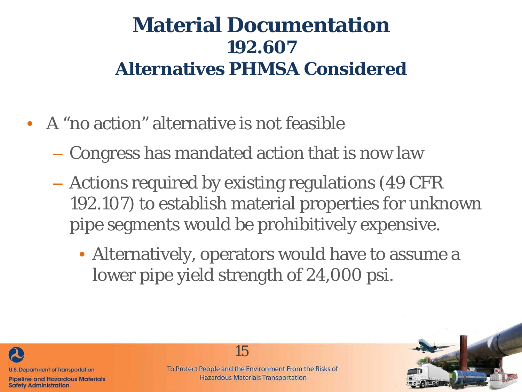#### **Material Documentation 192.607 Alternatives PHMSA Considered**

- A "no action" alternative is not feasible
	- Congress has mandated action that is now law
	- Actions required by existing regulations (49 CFR 192.107) to establish material properties for unknown pipe segments would be prohibitively expensive.
		- Alternatively, operators would have to assume a lower pipe yield strength of 24,000 psi.



**Safety Administration**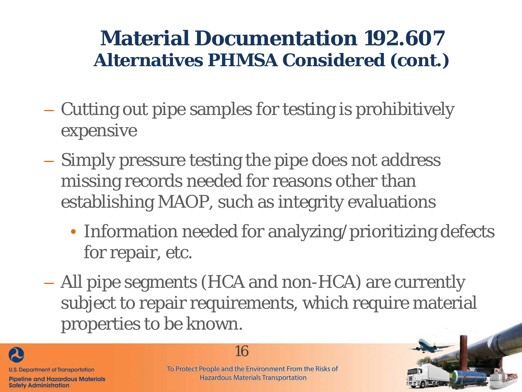#### **Material Documentation 192.607 Alternatives PHMSA Considered (cont.)**

- Cutting out pipe samples for testing is prohibitively expensive
- Simply pressure testing the pipe does not address missing records needed for reasons other than establishing MAOP, such as integrity evaluations
	- Information needed for analyzing/prioritizing defects for repair, etc.
- All pipe segments (HCA and non-HCA) are currently subject to repair requirements, which require material properties to be known.



16

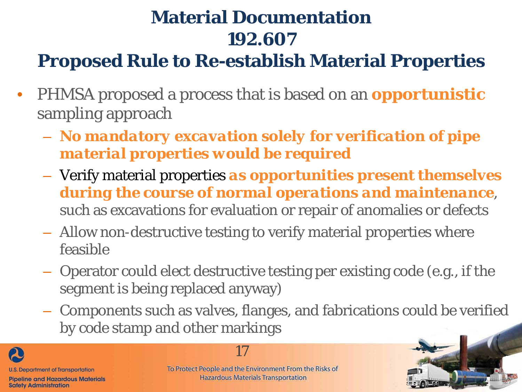#### **Proposed Rule to Re-establish Material Properties**

- PHMSA proposed a process that is based on an *opportunistic* sampling approach
	- *No mandatory excavation solely for verification of pipe material properties would be required*
	- Verify material properties *as opportunities present themselves during the course of normal operations and maintenance*, such as excavations for evaluation or repair of anomalies or defects
	- Allow non-destructive testing to verify material properties where feasible
	- Operator could elect destructive testing per existing code (e.g., if the segment is being replaced anyway)
	- Components such as valves, flanges, and fabrications could be verified by code stamp and other markings





**Hazardous Materials Transportation** 

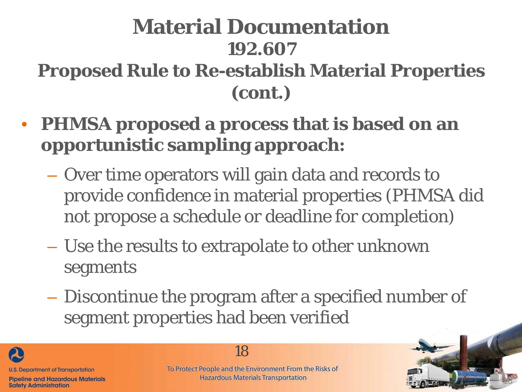#### **Material Documentation 192.607 Proposed Rule to Re-establish Material Properties (cont.)**

- **PHMSA proposed a process that is based on an opportunistic sampling approach:**
	- Over time operators will gain data and records to provide confidence in material properties (PHMSA did not propose a schedule or deadline for completion)
	- Use the results to extrapolate to other unknown segments
	- Discontinue the program after a specified number of segment properties had been verified

**U.S. Department of Transportation Pipeline and Hazardous Materials** 

**Safety Administration** 

18

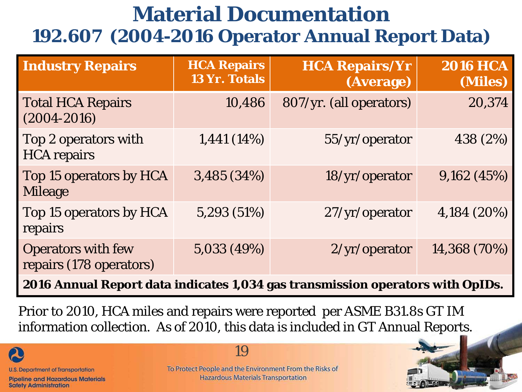#### **Material Documentation 192.607 (2004-2016 Operator Annual Report Data)**

| <b>Industry Repairs</b>                              | <b>HCA Repairs</b><br><b>13 Yr. Totals</b> | <b>HCA Repairs/Yr</b><br>(Average) | <b>2016 HCA</b><br>(Miles) |
|------------------------------------------------------|--------------------------------------------|------------------------------------|----------------------------|
| <b>Total HCA Repairs</b><br>$(2004 - 2016)$          | 10,486                                     | 807/yr. (all operators)            | 20,374                     |
| Top 2 operators with<br><b>HCA</b> repairs           | 1,441 (14%)                                | 55/yr/operator                     | 438 (2%)                   |
| Top 15 operators by HCA<br><b>Mileage</b>            | 3,485 (34%)                                | 18/yr/operator                     | 9,162(45%)                 |
| Top 15 operators by HCA<br>repairs                   | 5,293 (51%)                                | 27/yr/operator                     | 4,184 (20%)                |
| <b>Operators with few</b><br>repairs (178 operators) | 5,033 (49%)                                | 2/yr/operator                      | 14,368 (70%)               |

**2016 Annual Report data indicates 1,034 gas transmission operators with OpIDs.** 

Prior to 2010, HCA miles and repairs were reported per ASME B31.8s GT IM information collection. As of 2010, this data is included in GT Annual Reports.

**U.S. Department of Transportation** 

**Pipeline and Hazardous Materials Safety Administration** 

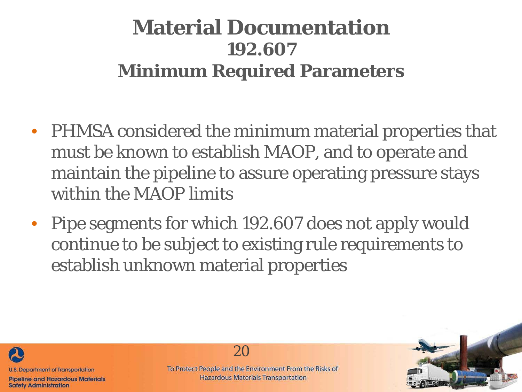#### **Material Documentation 192.607 Minimum Required Parameters**

- PHMSA considered the minimum material properties that must be known to establish MAOP, and to operate and maintain the pipeline to assure operating pressure stays within the MAOP limits
- Pipe segments for which 192.607 does not apply would continue to be subject to existing rule requirements to establish unknown material properties



**Safety Administration** 

20

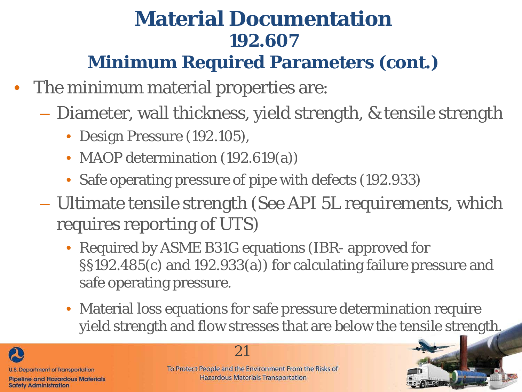#### **Minimum Required Parameters (cont.)**

- The minimum material properties are:
	- Diameter, wall thickness, yield strength, & tensile strength
		- Design Pressure (192.105),
		- MAOP determination (192.619(a))
		- Safe operating pressure of pipe with defects (192.933)
	- Ultimate tensile strength (See API 5L requirements, which requires reporting of UTS)
		- Required by ASME B31G equations (IBR- approved for §§192.485(c) and 192.933(a)) for calculating failure pressure and safe operating pressure.
		- Material loss equations for safe pressure determination require yield strength and flow stresses that are below the tensile strength.





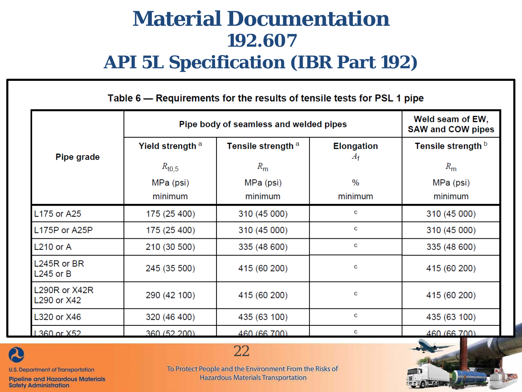#### **Material Documentation 192.607 API 5L Specification (IBR Part 192)**

|                              |                             | Pipe body of seamless and welded pipes |                                  | Weld seam of EW,<br><b>SAW and COW pipes</b> |
|------------------------------|-----------------------------|----------------------------------------|----------------------------------|----------------------------------------------|
| Pipe grade                   | Yield strength <sup>a</sup> | Tensile strength <sup>a</sup>          | <b>Elongation</b><br>$A_{\rm f}$ | Tensile strength <b>b</b>                    |
|                              | $R_{\rm t0,5}$              | $R_{\rm m}$                            |                                  | $R_{\rm m}$                                  |
|                              | MPa (psi)                   | MPa (psi)                              | $\frac{0}{0}$                    | MPa (psi)                                    |
|                              | minimum                     | minimum                                | minimum                          | minimum                                      |
| L175 or A25                  | 175 (25 400)                | 310 (45 000)                           | c                                | 310 (45 000)                                 |
| L175P or A25P                | 175 (25 400)                | 310 (45 000)                           | c                                | 310 (45 000)                                 |
| $L210$ or A                  | 210 (30 500)                | 335 (48 600)                           | c                                | 335 (48 600)                                 |
| L245R or BR<br>$L245$ or B   | 245 (35 500)                | 415 (60 200)                           | c                                | 415 (60 200)                                 |
| L290R or X42R<br>L290 or X42 | 290 (42 100)                | 415 (60 200)                           | c                                | 415 (60 200)                                 |
| L320 or X46                  | 320 (46 400)                | 435 (63 100)                           | c                                | 435 (63 100)                                 |
| 1.360 or X52                 | 360(52,200)                 | 460 (66 700)                           | c                                | 460 (66 700)                                 |



**U.S. Department of Transportation** 

**Pipeline and Hazardous Materials Safety Administration** 

To Protect People and the Environment From the Risks of **Hazardous Materials Transportation** 

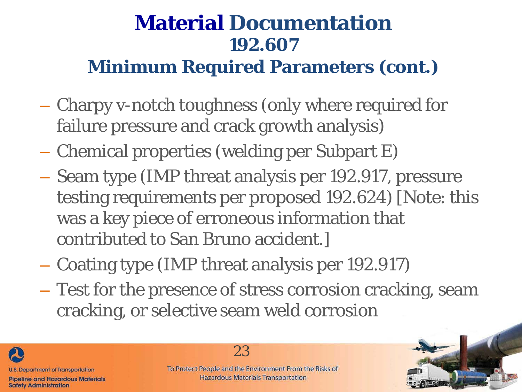#### **Minimum Required Parameters (cont.)**

- Charpy v-notch toughness (only where required for failure pressure and crack growth analysis)
- Chemical properties (welding per Subpart E)
- Seam type (IMP threat analysis per 192.917, pressure testing requirements per proposed 192.624) [Note: this was a key piece of erroneous information that contributed to San Bruno accident.]
- Coating type (IMP threat analysis per 192.917)
- Test for the presence of stress corrosion cracking, seam cracking, or selective seam weld corrosion





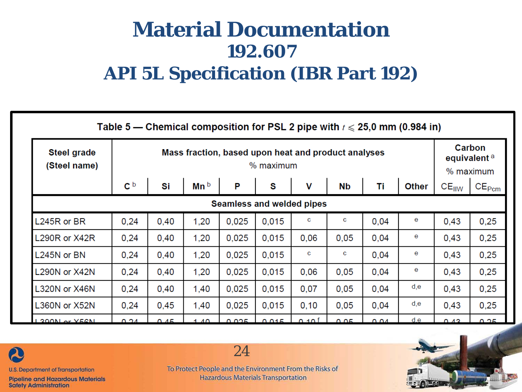#### **Material Documentation 192.607 API 5L Specification (IBR Part 192)**

|                             | Table 5 — Chemical composition for PSL 2 pipe with $t \le 25.0$ mm (0.984 in) |                                                                  |                   |       |       |      |           |      |              |                   |                   |  |  |
|-----------------------------|-------------------------------------------------------------------------------|------------------------------------------------------------------|-------------------|-------|-------|------|-----------|------|--------------|-------------------|-------------------|--|--|
| Steel grade<br>(Steel name) |                                                                               | Mass fraction, based upon heat and product analyses<br>% maximum |                   |       |       |      |           |      |              |                   |                   |  |  |
|                             | $\mathbf{c}^{\, \mathsf{b}}$                                                  | Si                                                               | Mn b              | P     | S     | ۷    | <b>Nb</b> | Τi   | <b>Other</b> | $CE_{\text{IIW}}$ | CE <sub>Pcm</sub> |  |  |
|                             | Seamless and welded pipes                                                     |                                                                  |                   |       |       |      |           |      |              |                   |                   |  |  |
| L245R or BR                 | 0,24                                                                          | 0,40                                                             | 1,20              | 0,025 | 0,015 | c    | c         | 0,04 | е            | 0,43              | 0,25              |  |  |
| L290R or X42R               | 0,24                                                                          | 0,40                                                             | 1,20              | 0,025 | 0,015 | 0,06 | 0,05      | 0,04 | e            | 0,43              | 0,25              |  |  |
| L245N or BN                 | 0,24                                                                          | 0,40                                                             | 1,20              | 0,025 | 0,015 | c    | c         | 0,04 | e            | 0,43              | 0,25              |  |  |
| <b>L290N or X42N</b>        | 0,24                                                                          | 0,40                                                             | 1,20              | 0,025 | 0,015 | 0,06 | 0,05      | 0,04 | е            | 0,43              | 0,25              |  |  |
| L320N or X46N               | 0,24                                                                          | 0,40                                                             | 1,40              | 0,025 | 0,015 | 0,07 | 0,05      | 0,04 | d,e          | 0,43              | 0,25              |  |  |
| L360N or X52N               | 0,24                                                                          | 0,45                                                             | 1,40              | 0,025 | 0,015 | 0,10 | 0,05      | 0,04 | d,e          | 0,43              | 0,25              |  |  |
| <b>1390N or YEAN</b>        | 0.24                                                                          | 0.45                                                             | $1 \overline{40}$ | 0.025 | 0.015 | 0.10 | 0.05      | 0.04 | d,e          | 0.43              | 0.25              |  |  |



**U.S. Department of Transportation** 

**Pipeline and Hazardous Materials Safety Administration** 

To Protect People and the Environment From the Risks of **Hazardous Materials Transportation** 

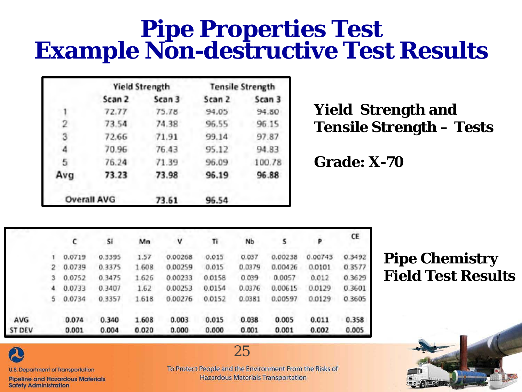# **Pipe Properties Test Example Non-destructive Test Results**

|                |                    | <b>Yield Strength</b> | <b>Tensile Strength</b> |        |  |  |
|----------------|--------------------|-----------------------|-------------------------|--------|--|--|
|                | Scan 2             | Scan 3                | Scan 2                  | Scan 3 |  |  |
|                | 72.77              | 75.78                 | 94.05                   | 94.50  |  |  |
| 2              | 73.54              | 74.38                 | 96.55                   | 96.15  |  |  |
| 3              | 72.66              | 71.91                 | 99.14                   | 97.87  |  |  |
| 4              | 70.96              | 76.43                 | 95.12                   | 94.83  |  |  |
| $\overline{5}$ | 76.24              | 71.39                 | 96.09                   | 100.78 |  |  |
| Avg            | 73.23              | 73.98                 | 96.19                   | 96.88  |  |  |
|                | <b>Overall AVG</b> | 73.61                 | 96.54                   |        |  |  |

#### **Yield Strength and Tensile Strength – Tests**

**Grade: X-70**

|               |   | c      | Sí     | Mn    | ٧       | Ti     | Nb     | s       | P       | CE     |
|---------------|---|--------|--------|-------|---------|--------|--------|---------|---------|--------|
|               |   | 0.0719 | 0.3395 | 1.57  | 0.00268 | 0.015  | 0.037  | 0.00238 | 0.00743 | 0.3492 |
|               | 2 | 0.0739 | 0.3375 | 1.608 | 0.00259 | 0.015  | 0.0379 | 0.00426 | 0.0101  | 0.3577 |
|               |   | 0.0752 | 0.3475 | 1.626 | 0.00233 | 0.0158 | 0.039  | 0.0057  | 0.012   | 0.3629 |
|               | 4 | 0.0733 | 0.3407 | 1.62  | 0.00253 | 0.0154 | 0.0376 | 0.00615 | 0.0129  | 0.3601 |
|               | 5 | 0.0734 | 0.3357 | 1.618 | 0.00276 | 0.0152 | 0.0381 | 0.00597 | 0.0129  | 0.3605 |
| AVG           |   | 0.074  | 0.340  | 1.608 | 0.003   | 0.015  | 0.038  | 0.005   | 0.011   | 0.358  |
| <b>ST DEV</b> |   | 0.001  | 0.004  | 0.020 | 0.000   | 0.000  | 0.001  | 0.001   | 0.002   | 0.005  |

#### **Pipe Chemistry Field Test Results**



**U.S. Department of Transportation** 

**Pipeline and Hazardous Materials Safety Administration** 

To Protect People and the Environment From the Risks of **Hazardous Materials Transportation** 

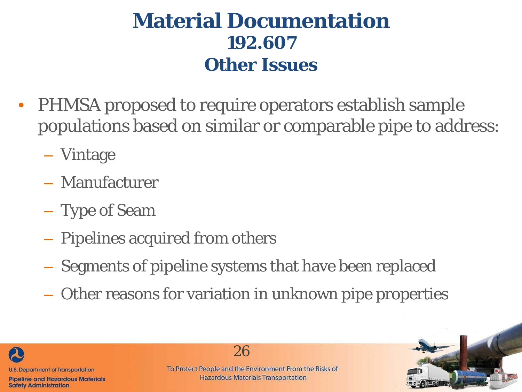#### **Material Documentation 192.607 Other Issues**

- PHMSA proposed to require operators establish sample populations based on similar or comparable pipe to address:
	- Vintage
	- Manufacturer
	- Type of Seam
	- Pipelines acquired from others
	- Segments of pipeline systems that have been replaced
	- Other reasons for variation in unknown pipe properties



26

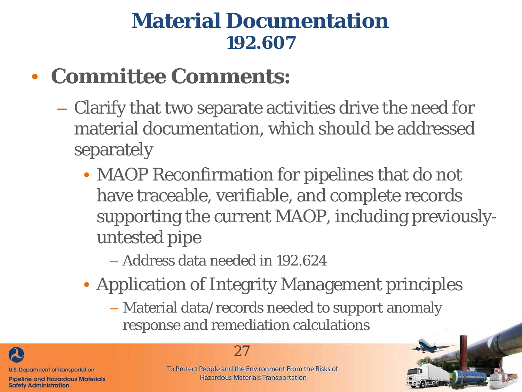#### • **Committee Comments:**

- Clarify that two separate activities drive the need for material documentation, which should be addressed separately
	- MAOP Reconfirmation for pipelines that do not have traceable, verifiable, and complete records supporting the current MAOP, including previouslyuntested pipe
		- Address data needed in 192.624
	- Application of Integrity Management principles
		- Material data/records needed to support anomaly response and remediation calculations

**U.S. Department of Transportation Pipeline and Hazardous Materials** 

**Safety Administration** 



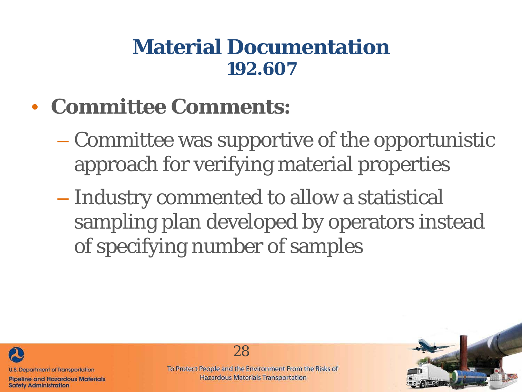- **Committee Comments:**
	- Committee was supportive of the opportunistic approach for verifying material properties
	- Industry commented to allow a statistical sampling plan developed by operators instead of specifying number of samples



**Pipeline and Hazardous Materials Safety Administration** 

To Protect People and the Environment From the Risks of **Hazardous Materials Transportation** 

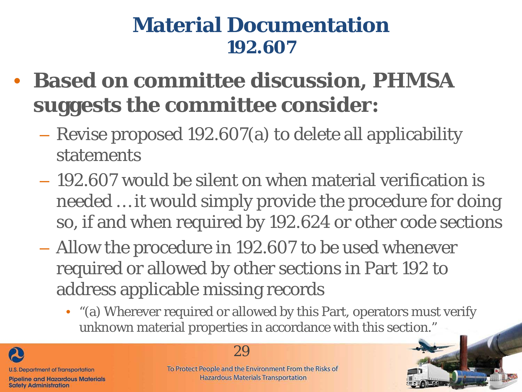- **Based on committee discussion, PHMSA suggests the committee consider:**
	- Revise proposed 192.607(a) to delete all applicability statements
	- 192.607 would be silent on when material verification is needed … it would simply provide the procedure for doing so, if and when required by 192.624 or other code sections
	- Allow the procedure in 192.607 to be used whenever required or allowed by other sections in Part 192 to address applicable missing records
		- "(a) Wherever required or allowed by this Part, operators must verify unknown material properties in accordance with this section."





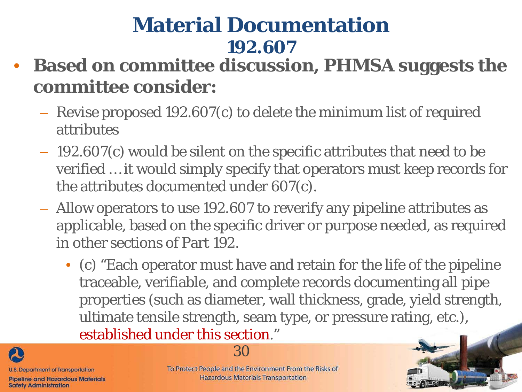- **Based on committee discussion, PHMSA suggests the committee consider:**
	- Revise proposed 192.607(c) to delete the minimum list of required attributes
	- 192.607(c) would be silent on the specific attributes that need to be verified … it would simply specify that operators must keep records for the attributes documented under 607(c).
	- Allow operators to use 192.607 to reverify any pipeline attributes as applicable, based on the specific driver or purpose needed, as required in other sections of Part 192.
		- (c) "Each operator must have and retain for the life of the pipeline traceable, verifiable, and complete records documenting all pipe properties (such as diameter, wall thickness, grade, yield strength, ultimate tensile strength, seam type, or pressure rating, etc.), established under this section."



**Safety Administration** 



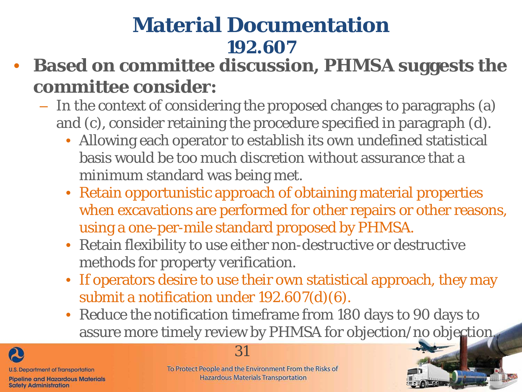- **Based on committee discussion, PHMSA suggests the committee consider:**
	- In the context of considering the proposed changes to paragraphs (a) and (c), consider retaining the procedure specified in paragraph (d).
		- Allowing each operator to establish its own undefined statistical basis would be too much discretion without assurance that a minimum standard was being met.
		- Retain opportunistic approach of obtaining material properties when excavations are performed for other repairs or other reasons, using a one-per-mile standard proposed by PHMSA.
		- Retain flexibility to use either non-destructive or destructive methods for property verification.
		- If operators desire to use their own statistical approach, they may submit a notification under 192.607(d)(6).
		- Reduce the notification timeframe from 180 days to 90 days to assure more timely review by PHMSA for objection/no objection.



**Safety Administration** 

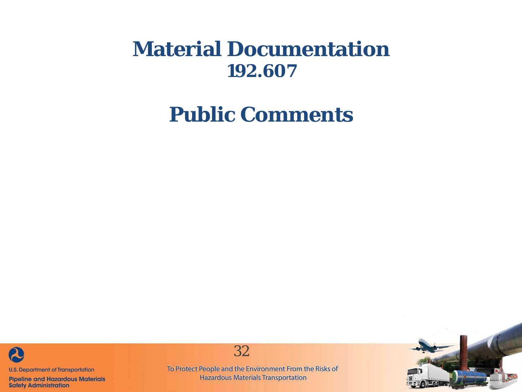**Public Comments**



**Pipeline and Hazardous Materials Safety Administration** 



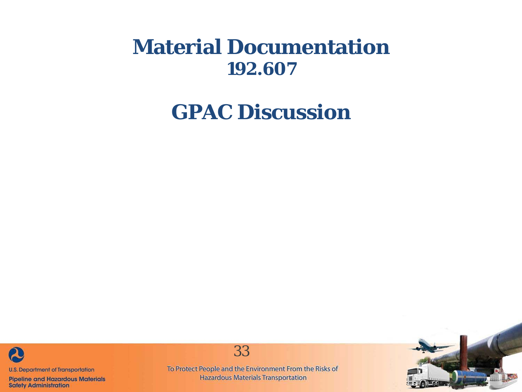#### **GPAC Discussion**



**Pipeline and Hazardous Materials Safety Administration** 



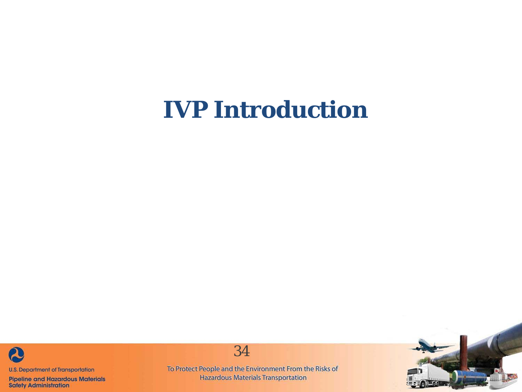## **IVP Introduction**



**Pipeline and Hazardous Materials Safety Administration** 



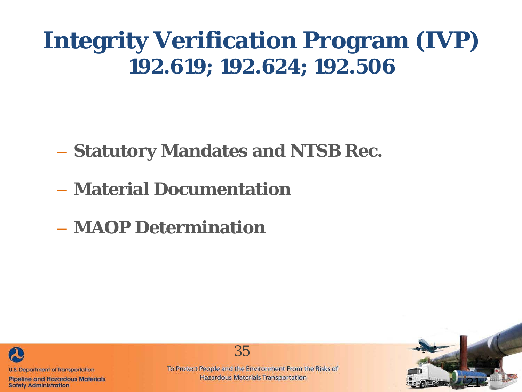#### **Integrity Verification Program (IVP) 192.619; 192.624; 192.506**

– **Statutory Mandates and NTSB Rec.**

- **Material Documentation**
- **MAOP Determination**



**Pipeline and Hazardous Materials Safety Administration** 

To Protect People and the Environment From the Risks of **Hazardous Materials Transportation** 

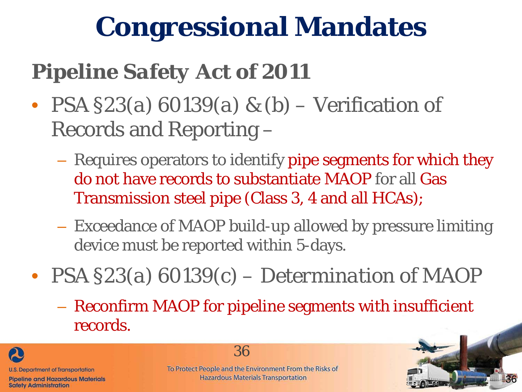# **Congressional Mandates**

## *Pipeline Safety Act of 2011*

- *PSA §23(a) 60139(a) & (b)* Verification of Records and Reporting –
	- Requires operators to identify pipe segments for which they do not have records to substantiate MAOP for all Gas Transmission steel pipe (Class 3, 4 and all HCAs);
	- Exceedance of MAOP build-up allowed by pressure limiting device must be reported within 5-days.
- *PSA §23(a) 60139(c) – Determination of MAOP*
	- Reconfirm MAOP for pipeline segments with insufficient records.



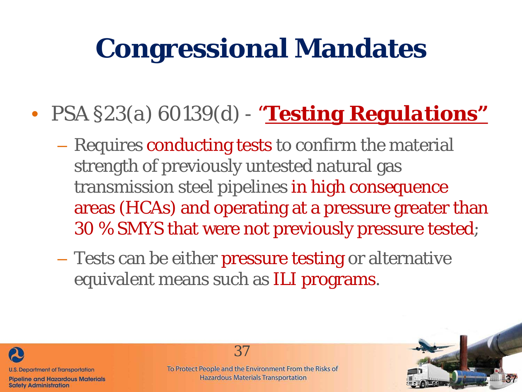# **Congressional Mandates**

- *PSA §23(a) 60139(d) - "Testing Regulations"* 
	- Requires conducting tests to confirm the material strength of previously untested natural gas transmission steel pipelines in high consequence areas (HCAs) and operating at a pressure greater than 30 % SMYS that were not previously pressure tested;
	- Tests can be either pressure testing or alternative equivalent means such as ILI programs.



**Safety Administration** 

37

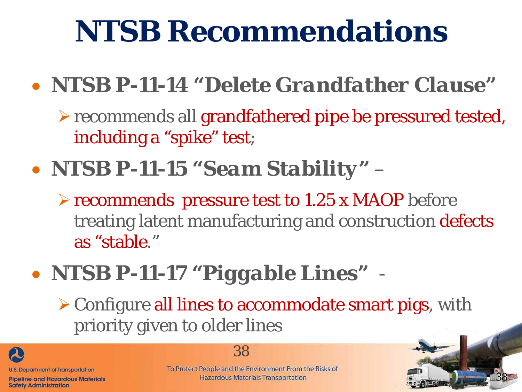# **NTSB Recommendations**

## • *NTSB P-11-14 "Delete Grandfather Clause"*

recommends all grandfathered pipe be pressured tested, including a "spike" test;

## • *NTSB P-11-15 "Seam Stability"* –

recommends pressure test to 1.25 x MAOP before treating latent manufacturing and construction defects as "stable."

## • *NTSB P-11-17 "Piggable Lines"* -

Configure all lines to accommodate smart pigs, with priority given to older lines



#### 38

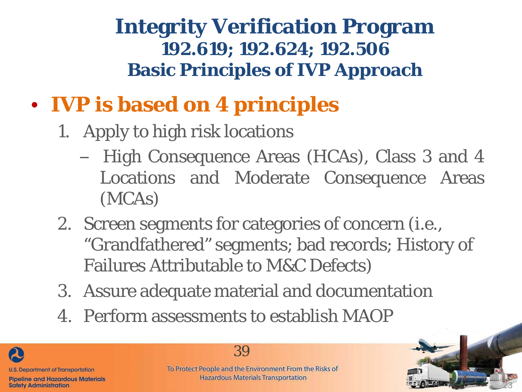#### **Integrity Verification Program 192.619; 192.624; 192.506 Basic Principles of IVP Approach**

- **IVP is based on 4 principles**
	- 1. Apply to high risk locations
		- High Consequence Areas (HCAs), Class 3 and 4 Locations and Moderate Consequence Areas (MCAs)
	- 2. Screen segments for categories of concern (i.e., "Grandfathered" segments; bad records; History of Failures Attributable to M&C Defects)
	- 3. Assure adequate material and documentation
	- 4. Perform assessments to establish MAOP

**U.S. Department of Transportation Pipeline and Hazardous Materials Safety Administration** 

39

To Protect People and the Environment From the Risks of **Hazardous Materials Transportation**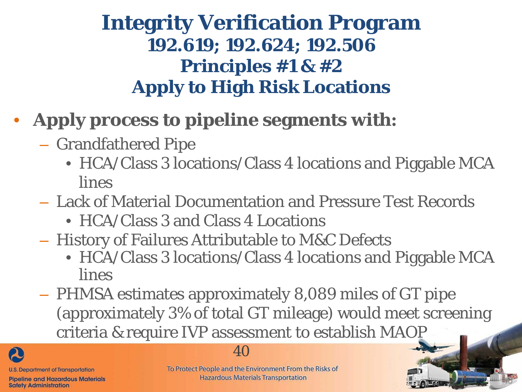#### **Integrity Verification Program 192.619; 192.624; 192.506 Principles #1 & #2 Apply to High Risk Locations**

- **Apply process to pipeline segments with:**
	- Grandfathered Pipe
		- HCA/Class 3 locations/Class 4 locations and Piggable MCA lines
	- Lack of Material Documentation and Pressure Test Records
		- HCA/Class 3 and Class 4 Locations
	- History of Failures Attributable to M&C Defects
		- HCA/Class 3 locations/Class 4 locations and Piggable MCA lines

40

– PHMSA estimates approximately 8,089 miles of GT pipe (approximately 3% of total GT mileage) would meet screening criteria & require IVP assessment to establish MAOP

20 **U.S. Department of Transportation Pipeline and Hazardous Materials** 

**Safety Administration** 

40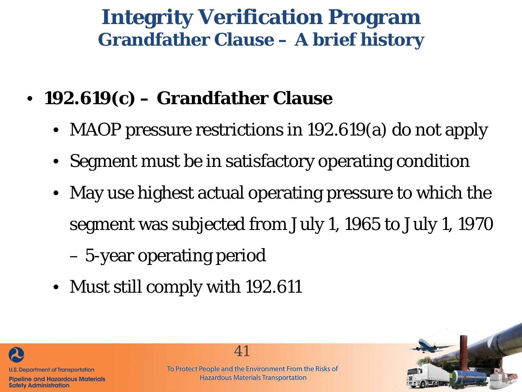### **Integrity Verification Program Grandfather Clause – A brief history**

- **192.619(c) – Grandfather Clause** 
	- MAOP pressure restrictions in 192.619(a) do not apply
	- Segment must be in satisfactory operating condition
	- May use highest actual operating pressure to which the segment was subjected from July 1, 1965 to July 1, 1970

– 5-year operating period

• Must still comply with 192.611



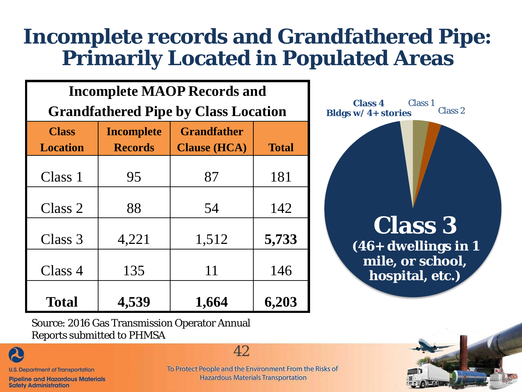### **Incomplete records and Grandfathered Pipe: Primarily Located in Populated Areas**

| <b>Incomplete MAOP Records and</b>          |                                     |                                           |              |  |  |  |  |
|---------------------------------------------|-------------------------------------|-------------------------------------------|--------------|--|--|--|--|
| <b>Grandfathered Pipe by Class Location</b> |                                     |                                           |              |  |  |  |  |
| <b>Class</b><br><b>Location</b>             | <b>Incomplete</b><br><b>Records</b> | <b>Grandfather</b><br><b>Clause (HCA)</b> | <b>Total</b> |  |  |  |  |
| Class 1                                     | 95                                  | 87                                        | 181          |  |  |  |  |
| Class 2                                     | 88                                  | 54                                        | 142          |  |  |  |  |
| Class 3                                     | 4,221                               | 1,512                                     | 5,733        |  |  |  |  |
| Class 4                                     | 135                                 | 11                                        | 146          |  |  |  |  |
| <b>Total</b>                                | 4,539                               | 1,664                                     | 6,203        |  |  |  |  |



Source: 2016 Gas Transmission Operator Annual Reports submitted to PHMSA

**U.S. Department of Transportation** 

 $\boldsymbol{\mathcal{A}}$ 

**Pipeline and Hazardous Materials Safety Administration** 

To Protect People and the Environment From the Risks of **Hazardous Materials Transportation** 

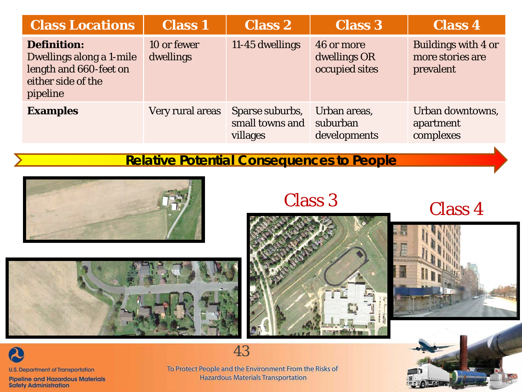| <b>Class Locations</b>                                                                                     | <b>Class 1</b>           | <b>Class 2</b>                                 | <b>Class 3</b>                               | <b>Class 4</b>                                              |
|------------------------------------------------------------------------------------------------------------|--------------------------|------------------------------------------------|----------------------------------------------|-------------------------------------------------------------|
| <b>Definition:</b><br>Dwellings along a 1-mile<br>length and 660-feet on<br>either side of the<br>pipeline | 10 or fewer<br>dwellings | 11-45 dwellings                                | 46 or more<br>dwellings OR<br>occupied sites | <b>Buildings with 4 or</b><br>more stories are<br>prevalent |
| <b>Examples</b>                                                                                            | Very rural areas         | Sparse suburbs,<br>small towns and<br>villages | Urban areas,<br>suburban<br>developments     | Urban downtowns,<br>apartment<br>complexes                  |

#### **Relative Potential Consequences to People**



Class 3 Class 4







**Pipeline and Hazardous Materials Safety Administration** 

To Protect People and the Environment From the Risks of **Hazardous Materials Transportation** 

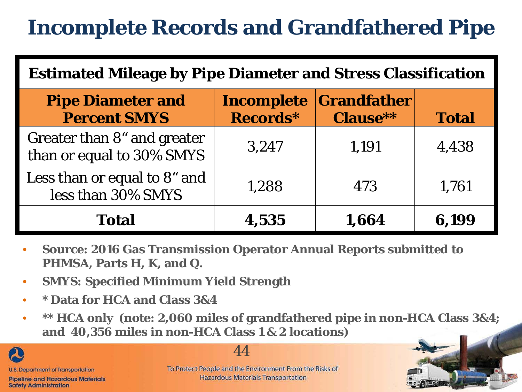## **Incomplete Records and Grandfathered Pipe**

| <b>Estimated Mileage by Pipe Diameter and Stress Classification</b> |                               |                                       |              |  |  |  |
|---------------------------------------------------------------------|-------------------------------|---------------------------------------|--------------|--|--|--|
| <b>Pipe Diameter and</b><br><b>Percent SMYS</b>                     | <b>Incomplete</b><br>Records* | <b>Grandfather</b><br><b>Clause**</b> | <b>Total</b> |  |  |  |
| Greater than 8" and greater<br>than or equal to 30% SMYS            | 3,247                         | 1,191                                 | 4,438        |  |  |  |
| Less than or equal to 8" and<br>less than 30% SMYS                  | 1,288                         | 473                                   | 1,761        |  |  |  |
| <b>Total</b>                                                        | 4,535                         | 1,664                                 | 6,199        |  |  |  |

- **Source: 2016 Gas Transmission Operator Annual Reports submitted to PHMSA, Parts H, K, and Q.**
- **SMYS: Specified Minimum Yield Strength**
- **\* Data for HCA and Class 3&4**
- **\*\* HCA only (note: 2,060 miles of grandfathered pipe in non-HCA Class 3&4; and 40,356 miles in non-HCA Class 1 & 2 locations)**



44

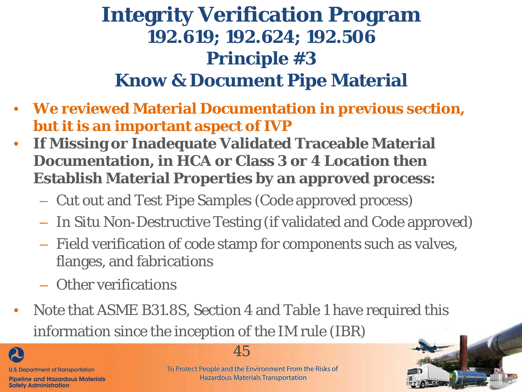#### **Integrity Verification Program 192.619; 192.624; 192.506 Principle #3 Know & Document Pipe Material**

- **We reviewed Material Documentation in previous section, but it is an important aspect of IVP**
- **If Missing or Inadequate Validated Traceable Material Documentation, in HCA or Class 3 or 4 Location then Establish Material Properties by an approved process:**
	- Cut out and Test Pipe Samples (Code approved process)
	- *In Situ* Non-Destructive Testing (if validated and Code approved)
	- Field verification of code stamp for components such as valves, flanges, and fabrications
	- Other verifications
- Note that ASME B31.8S, Section 4 and Table 1 have required this information since the inception of the IM rule (IBR)

20 **U.S. Department of Transportation Pipeline and Hazardous Materials Safety Administration** 

#### 45

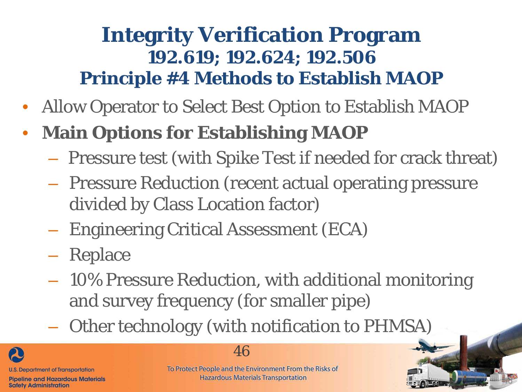#### **Integrity Verification Program 192.619; 192.624; 192.506 Principle #4 Methods to Establish MAOP**

- Allow Operator to Select Best Option to Establish MAOP
- **Main Options for Establishing MAOP**
	- Pressure test (with Spike Test if needed for crack threat)
	- Pressure Reduction (recent actual operating pressure divided by Class Location factor)
	- Engineering Critical Assessment (ECA)
	- Replace
	- 10% Pressure Reduction, with additional monitoring and survey frequency (for smaller pipe)
	- Other technology (with notification to PHMSA)



#### 46

To Protect People and the Environment From the Risks of **Hazardous Materials Transportation**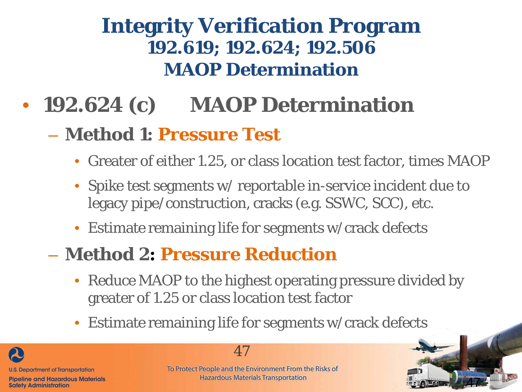#### **Integrity Verification Program 192.619; 192.624; 192.506 MAOP Determination**

## • **192.624 (c) MAOP Determination**

#### – **Method 1: Pressure Test**

- Greater of either 1.25, or class location test factor, times MAOP
- Spike test segments w/ reportable in-service incident due to legacy pipe/construction, cracks (e.g. SSWC, SCC), etc.
- Estimate remaining life for segments w/crack defects

#### – **Method 2: Pressure Reduction**

- Reduce MAOP to the highest operating pressure divided by greater of 1.25 or class location test factor
- Estimate remaining life for segments w/crack defects





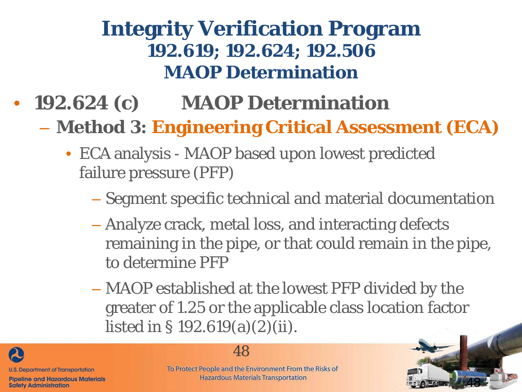### **Integrity Verification Program 192.619; 192.624; 192.506 MAOP Determination**

- **192.624 (c) MAOP Determination**
	- **Method 3: Engineering Critical Assessment (ECA)**
		- ECA analysis MAOP based upon lowest predicted failure pressure (PFP)
			- Segment specific technical and material documentation
			- Analyze crack, metal loss, and interacting defects remaining in the pipe, or that could remain in the pipe, to determine PFP
			- MAOP established at the lowest PFP divided by the greater of 1.25 or the applicable class location factor listed in § 192.619(a)(2)(ii).





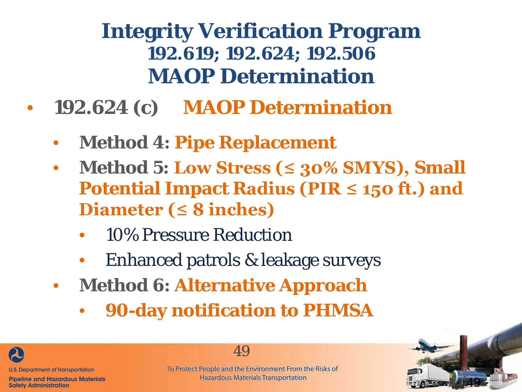### **Integrity Verification Program 192.619; 192.624; 192.506 MAOP Determination**

- **192.624 (c) MAOP Determination**
	- **Method 4: Pipe Replacement**
	- **Method 5: Low Stress (≤ 30% SMYS), Small Potential Impact Radius (PIR ≤ 150 ft.) and Diameter (≤ 8 inches)**
		- 10% Pressure Reduction
		- Enhanced patrols & leakage surveys
	- **Method 6: Alternative Approach**
		- **90-day notification to PHMSA**



49

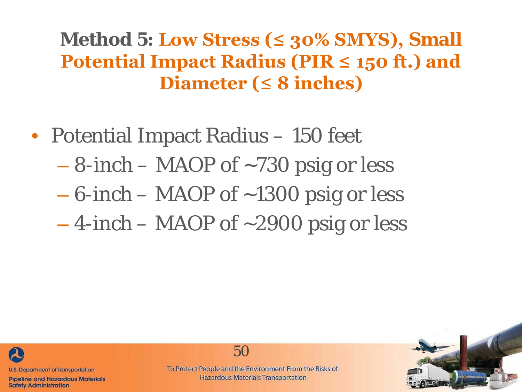**Method 5: Low Stress (≤ 30% SMYS), Small Potential Impact Radius (PIR ≤ 150 ft.) and Diameter (≤ 8 inches)**

- Potential Impact Radius 150 feet
	- $-$  8-inch MAOP of  $\sim$ 730 psig or less
	- 6-inch MAOP of ~1300 psig or less
	- $-4$ -inch MAOP of  $\sim$ 2900 psig or less



**Pipeline and Hazardous Materials Safety Administration** 

50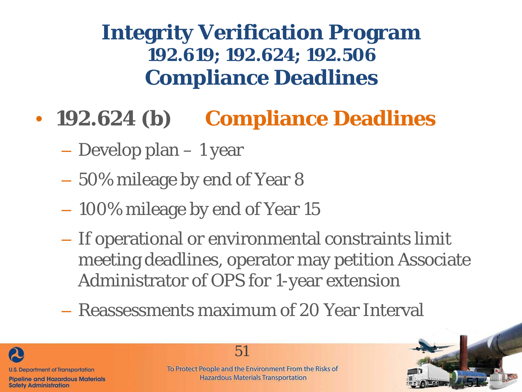**Integrity Verification Program 192.619; 192.624; 192.506 Compliance Deadlines**

- **192.624 (b) Compliance Deadlines**
	- Develop plan 1 year
	- 50% mileage by end of Year 8
	- 100% mileage by end of Year 15
	- If operational or environmental constraints limit meeting deadlines, operator may petition Associate Administrator of OPS for 1-year extension
	- Reassessments maximum of 20 Year Interval



51

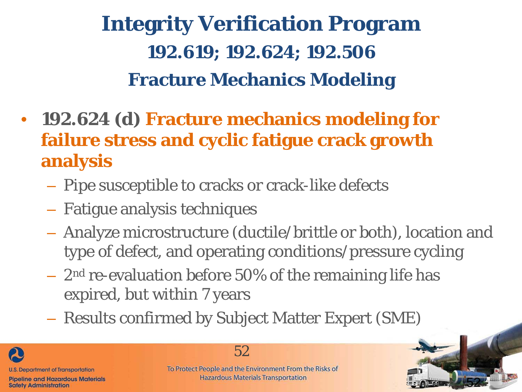## **Integrity Verification Program 192.619; 192.624; 192.506 Fracture Mechanics Modeling**

- **192.624 (d) Fracture mechanics modeling for failure stress and cyclic fatigue crack growth analysis**
	- Pipe susceptible to cracks or crack-like defects
	- Fatigue analysis techniques
	- Analyze microstructure (ductile/brittle or both), location and type of defect, and operating conditions/pressure cycling
	- $-2<sup>nd</sup>$  re-evaluation before 50% of the remaining life has expired, but within 7 years
	- Results confirmed by Subject Matter Expert (SME)

**U.S. Department of Transportation Pipeline and Hazardous Materials Safety Administration** 

52

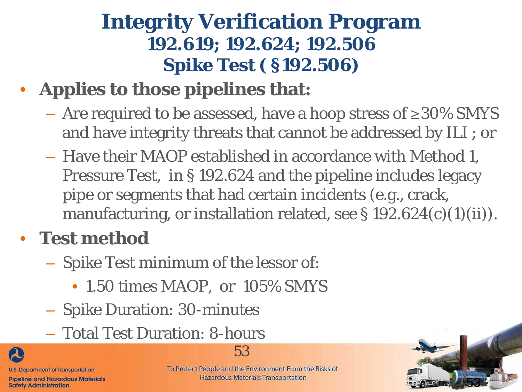### **Integrity Verification Program 192.619; 192.624; 192.506 Spike Test ( §192.506)**

### • **Applies to those pipelines that:**

- $-$  Are required to be assessed, have a hoop stress of ≥30% SMYS and have integrity threats that cannot be addressed by ILI ; or
- Have their MAOP established in accordance with Method 1, Pressure Test, in § 192.624 and the pipeline includes legacy pipe or segments that had certain incidents (e.g., crack, manufacturing, or installation related, see  $\S 192.624(c)(1)(ii)$ .

### • **Test method**

- Spike Test minimum of the lessor of:
	- 1.50 times MAOP, or 105% SMYS
- Spike Duration: 30-minutes
- Total Test Duration: 8-hours



To Protect People and the Environment From the Risks of **Hazardous Materials Transportation** 

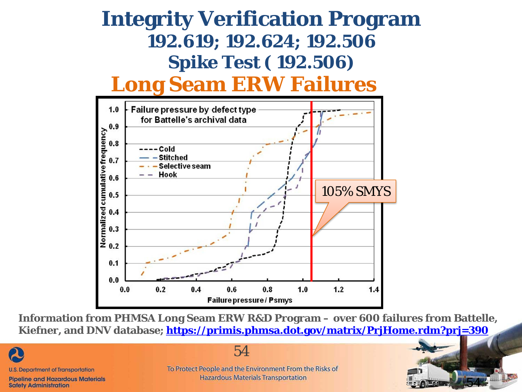#### **Integrity Verification Program 192.619; 192.624; 192.506 Spike Test ( 192.506) Long Seam ERW Failures**



**Information from PHMSA Long Seam ERW R&D Program – over 600 failures from Battelle, Kiefner, and DNV database;<https://primis.phmsa.dot.gov/matrix/PrjHome.rdm?prj=390>**



54

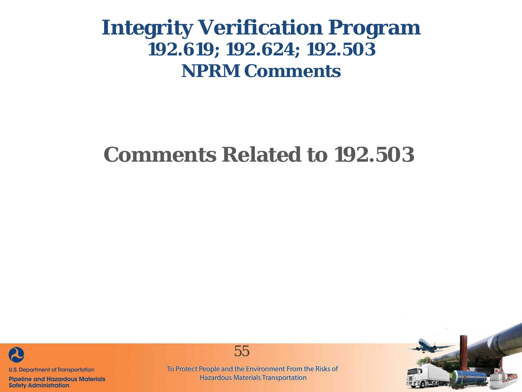### **Comments Related to 192.503**



**Pipeline and Hazardous Materials Safety Administration** 

To Protect People and the Environment From the Risks of **Hazardous Materials Transportation** 

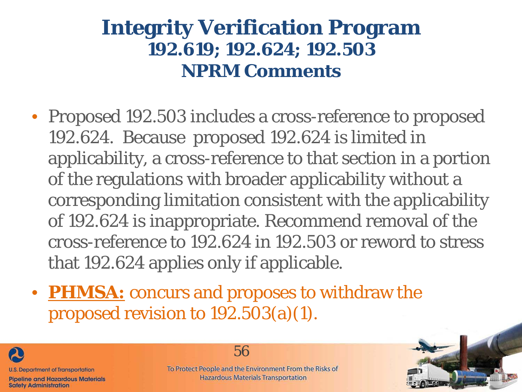- Proposed 192.503 includes a cross-reference to proposed 192.624. Because proposed 192.624 is limited in applicability, a cross-reference to that section in a portion of the regulations with broader applicability without a corresponding limitation consistent with the applicability of 192.624 is inappropriate. Recommend removal of the cross-reference to 192.624 in 192.503 or reword to stress that 192.624 applies only if applicable.
- **PHMSA:** concurs and proposes to withdraw the proposed revision to 192.503(a)(1).



56

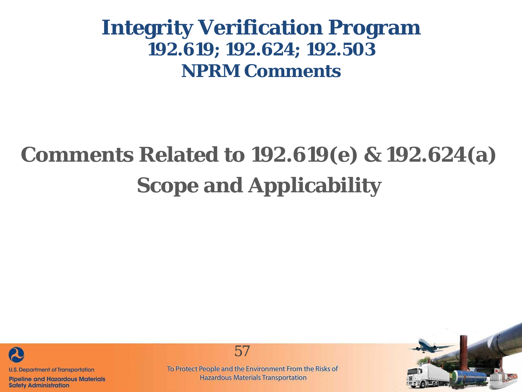## **Comments Related to 192.619(e) & 192.624(a) Scope and Applicability**



**Pipeline and Hazardous Materials Safety Administration** 

57

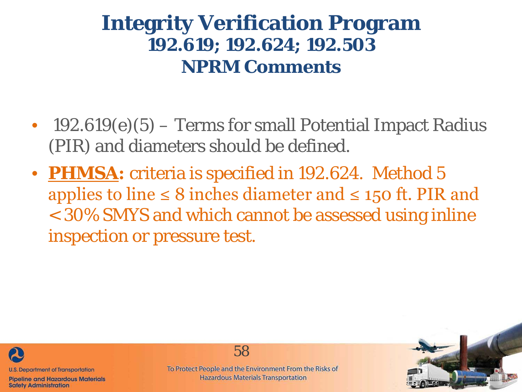- 192.619 $(e)(5)$  Terms for small Potential Impact Radius (PIR) and diameters should be defined.
- **PHMSA:** criteria is specified in 192.624. Method 5 applies to line ≤ 8 inches diameter and ≤ 150 ft. PIR and < 30% SMYS and which cannot be assessed using inline inspection or pressure test.



**Pipeline and Hazardous Materials Safety Administration** 

To Protect People and the Environment From the Risks of **Hazardous Materials Transportation** 

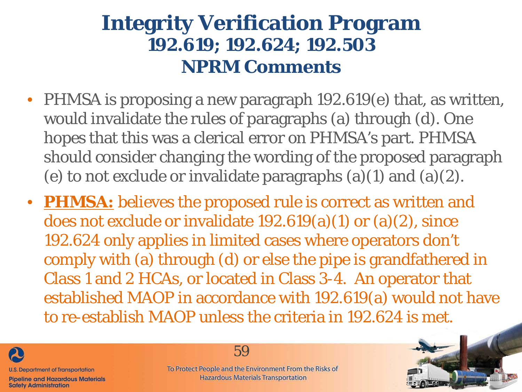- PHMSA is proposing a new paragraph 192.619(e) that, as written, would invalidate the rules of paragraphs (a) through (d). One hopes that this was a clerical error on PHMSA's part. PHMSA should consider changing the wording of the proposed paragraph (e) to not exclude or invalidate paragraphs  $(a)(1)$  and  $(a)(2)$ .
- **PHMSA:** believes the proposed rule is correct as written and does not exclude or invalidate 192.619(a)(1) or (a)(2), since 192.624 only applies in limited cases where operators don't comply with (a) through (d) or else the pipe is grandfathered in Class 1 and 2 HCAs, or located in Class 3-4. An operator that established MAOP in accordance with 192.619(a) would not have to re-establish MAOP unless the criteria in 192.624 is met.



**Safety Administration** 

59

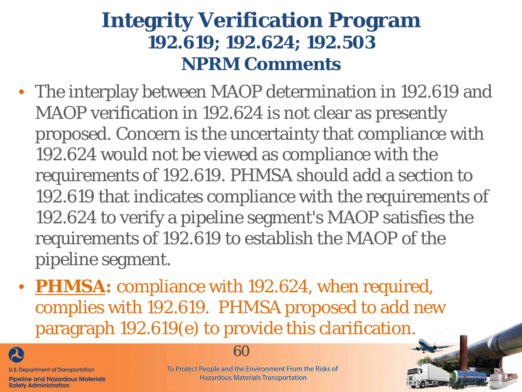- The interplay between MAOP determination in 192.619 and MAOP verification in 192.624 is not clear as presently proposed. Concern is the uncertainty that compliance with 192.624 would not be viewed as compliance with the requirements of 192.619. PHMSA should add a section to 192.619 that indicates compliance with the requirements of 192.624 to verify a pipeline segment's MAOP satisfies the requirements of 192.619 to establish the MAOP of the pipeline segment.
- **PHMSA:** compliance with 192.624, when required, complies with 192.619. PHMSA proposed to add new paragraph 192.619(e) to provide this clarification.



**Safety Administration** 

60

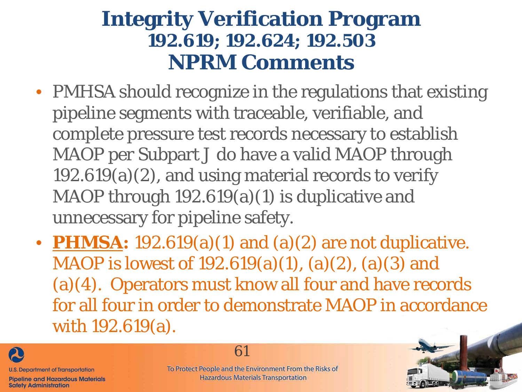- PMHSA should recognize in the regulations that existing pipeline segments with traceable, verifiable, and complete pressure test records necessary to establish MAOP per Subpart J do have a valid MAOP through 192.619(a)(2), and using material records to verify MAOP through 192.619(a)(1) is duplicative and unnecessary for pipeline safety.
- **PHMSA:** 192.619(a)(1) and (a)(2) are not duplicative. MAOP is lowest of 192.619(a)(1), (a)(2), (a)(3) and (a)(4). Operators must know all four and have records for all four in order to demonstrate MAOP in accordance with 192.619(a).



**Safety Administration** 

61

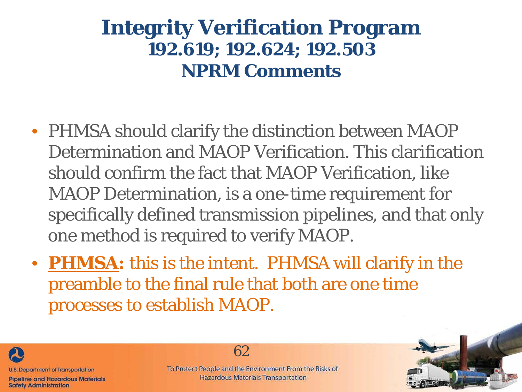- PHMSA should clarify the distinction between MAOP Determination and MAOP Verification. This clarification should confirm the fact that MAOP Verification, like MAOP Determination, is a one-time requirement for specifically defined transmission pipelines, and that only one method is required to verify MAOP.
- **PHMSA:** this is the intent. PHMSA will clarify in the preamble to the final rule that both are one time processes to establish MAOP.



**Safety Administration** 

62

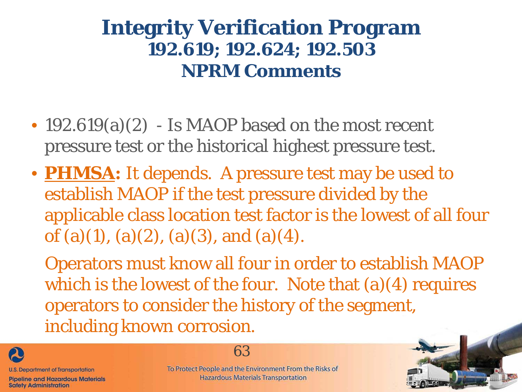- 192.619(a)(2) Is MAOP based on the most recent pressure test or the historical highest pressure test.
- **PHMSA:** It depends. A pressure test may be used to establish MAOP if the test pressure divided by the applicable class location test factor is the lowest of all four of (a)(1), (a)(2), (a)(3), and (a)(4).

Operators must know all four in order to establish MAOP which is the lowest of the four. Note that  $(a)(4)$  requires operators to consider the history of the segment, including known corrosion.



63

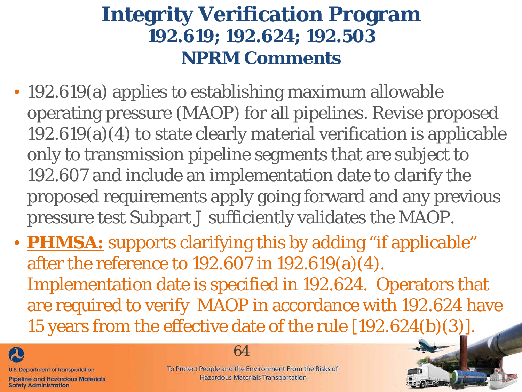- 192.619(a) applies to establishing maximum allowable operating pressure (MAOP) for all pipelines. Revise proposed 192.619(a)(4) to state clearly material verification is applicable only to transmission pipeline segments that are subject to 192.607 and include an implementation date to clarify the proposed requirements apply going forward and any previous pressure test Subpart J sufficiently validates the MAOP.
- **PHMSA:** supports clarifying this by adding "if applicable" after the reference to 192.607 in 192.619(a)(4). Implementation date is specified in 192.624. Operators that are required to verify MAOP in accordance with 192.624 have 15 years from the effective date of the rule [192.624(b)(3)].



**Safety Administration** 

#### 64

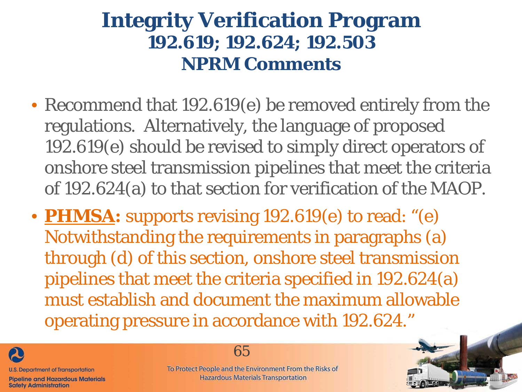- Recommend that 192.619(e) be removed entirely from the regulations. Alternatively, the language of proposed 192.619(e) should be revised to simply direct operators of onshore steel transmission pipelines that meet the criteria of 192.624(a) to that section for verification of the MAOP.
- **PHMSA:** supports revising 192.619(e) to read: "(e) Notwithstanding the requirements in paragraphs (a) through (d) of this section, onshore steel transmission pipelines that meet the criteria specified in 192.624(a) must establish and document the maximum allowable operating pressure in accordance with 192.624."



**Safety Administration** 

65

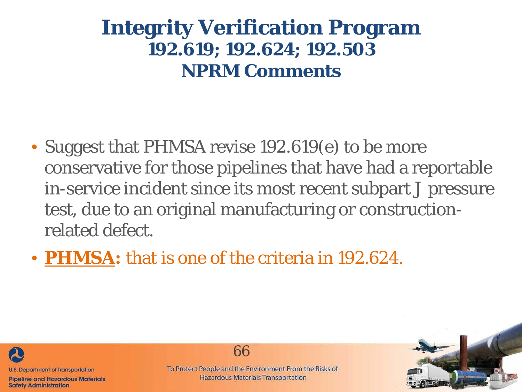- Suggest that PHMSA revise 192.619(e) to be more conservative for those pipelines that have had a reportable in-service incident since its most recent subpart J pressure test, due to an original manufacturing or constructionrelated defect.
- **PHMSA:** that is one of the criteria in 192.624.



**Pipeline and Hazardous Materials Safety Administration** 



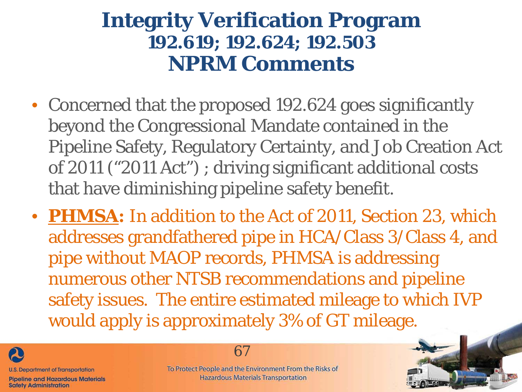- Concerned that the proposed 192.624 goes significantly beyond the Congressional Mandate contained in the Pipeline Safety, Regulatory Certainty, and Job Creation Act of 2011 ("2011 Act") ; driving significant additional costs that have diminishing pipeline safety benefit.
- **PHMSA:** In addition to the Act of 2011, Section 23, which addresses grandfathered pipe in HCA/Class 3/Class 4, and pipe without MAOP records, PHMSA is addressing numerous other NTSB recommendations and pipeline safety issues. The entire estimated mileage to which IVP would apply is approximately 3% of GT mileage.



**Pipeline and Hazardous Materials Safety Administration** 

67

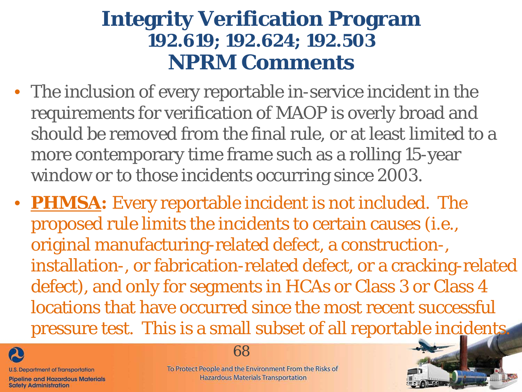- The inclusion of every reportable in-service incident in the requirements for verification of MAOP is overly broad and should be removed from the final rule, or at least limited to a more contemporary time frame such as a rolling 15-year window or to those incidents occurring since 2003.
- **PHMSA:** Every reportable incident is not included. The proposed rule limits the incidents to certain causes (i.e., original manufacturing-related defect, a construction-, installation-, or fabrication-related defect, or a cracking-related defect), and only for segments in HCAs or Class 3 or Class 4 locations that have occurred since the most recent successful pressure test. This is a small subset of all reportable incidents.



**Pipeline and Hazardous Materials Safety Administration** 

#### 68

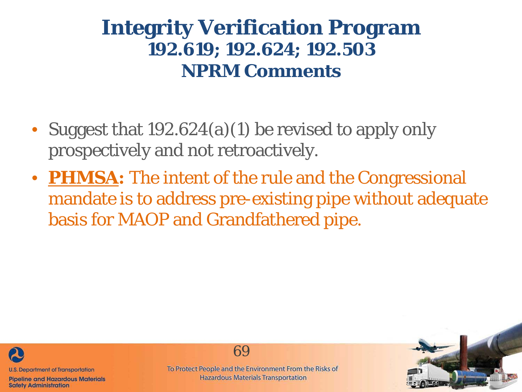- Suggest that 192.624(a)(1) be revised to apply only prospectively and not retroactively.
- **PHMSA:** The intent of the rule and the Congressional mandate is to address pre-existing pipe without adequate basis for MAOP and Grandfathered pipe.



**Pipeline and Hazardous Materials Safety Administration** 

69

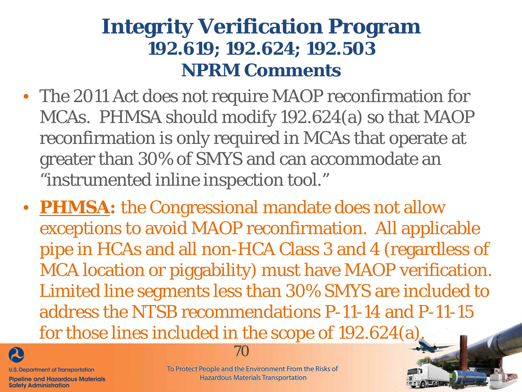- The 2011 Act does not require MAOP reconfirmation for MCAs. PHMSA should modify 192.624(a) so that MAOP reconfirmation is only required in MCAs that operate at greater than 30% of SMYS and can accommodate an "instrumented inline inspection tool."
- **PHMSA:** the Congressional mandate does not allow exceptions to avoid MAOP reconfirmation. All applicable pipe in HCAs and all non-HCA Class 3 and 4 (regardless of MCA location or piggability) must have MAOP verification. Limited line segments less than 30% SMYS are included to address the NTSB recommendations P-11-14 and P-11-15 for those lines included in the scope of 192.624(a).



**U.S. Department of Transportation** 

**Pipeline and Hazardous Materials Safety Administration** 



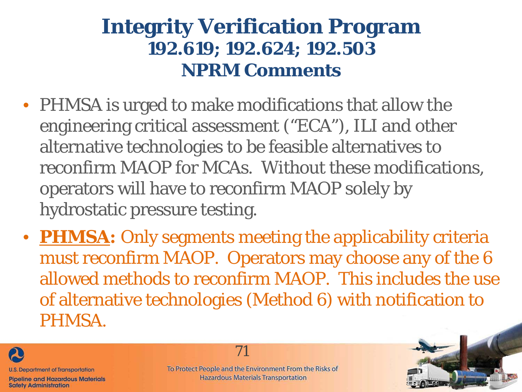- PHMSA is urged to make modifications that allow the engineering critical assessment ("ECA"), ILI and other alternative technologies to be feasible alternatives to reconfirm MAOP for MCAs. Without these modifications, operators will have to reconfirm MAOP solely by hydrostatic pressure testing.
- **PHMSA:** Only segments meeting the applicability criteria must reconfirm MAOP. Operators may choose any of the 6 allowed methods to reconfirm MAOP. This includes the use of alternative technologies (Method 6) with notification to PHMSA.



**Safety Administration** 

To Protect People and the Environment From the Risks of **Hazardous Materials Transportation** 

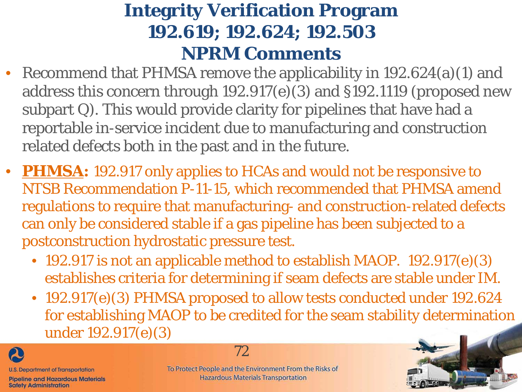- Recommend that PHMSA remove the applicability in 192.624(a)(1) and address this concern through 192.917(e)(3) and §192.1119 (proposed new subpart Q). This would provide clarity for pipelines that have had a reportable in-service incident due to manufacturing and construction related defects both in the past and in the future.
- **PHMSA:** 192.917 only applies to HCAs and would not be responsive to NTSB Recommendation P-11-15, which recommended that PHMSA amend regulations to require that manufacturing- and construction-related defects can only be considered stable if a gas pipeline has been subjected to a postconstruction hydrostatic pressure test.
	- 192.917 is not an applicable method to establish MAOP. 192.917(e)(3) establishes criteria for determining if seam defects are stable under IM.
	- 192.917(e)(3) PHMSA proposed to allow tests conducted under 192.624 for establishing MAOP to be credited for the seam stability determination under 192.917(e)(3)



**Safety Administration** 

72

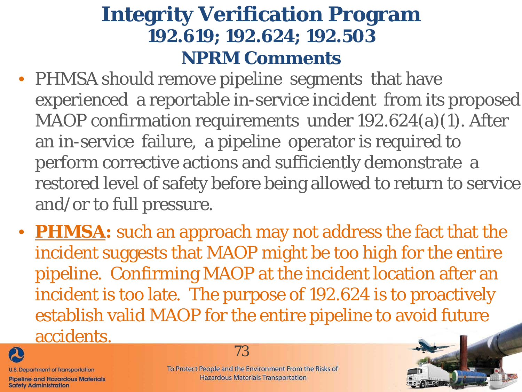- PHMSA should remove pipeline segments that have experienced a reportable in-service incident from its proposed MAOP confirmation requirements under 192.624(a)(1). After an in-service failure, a pipeline operator is required to perform corrective actions and sufficiently demonstrate a restored level of safety before being allowed to return to service and/or to full pressure.
- **PHMSA:** such an approach may not address the fact that the incident suggests that MAOP might be too high for the entire pipeline. Confirming MAOP at the incident location after an incident is too late. The purpose of 192.624 is to proactively establish valid MAOP for the entire pipeline to avoid future accidents.



**Pipeline and Hazardous Materials Safety Administration** 

73

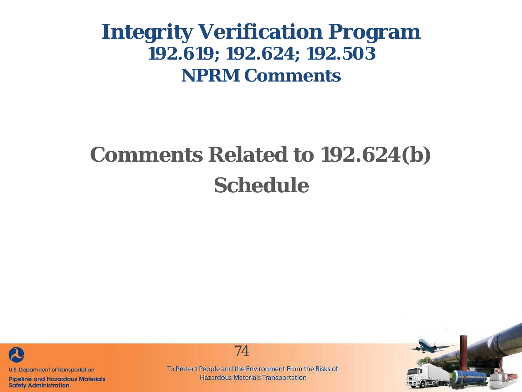# **Comments Related to 192.624(b) Schedule**



**Pipeline and Hazardous Materials Safety Administration** 

74

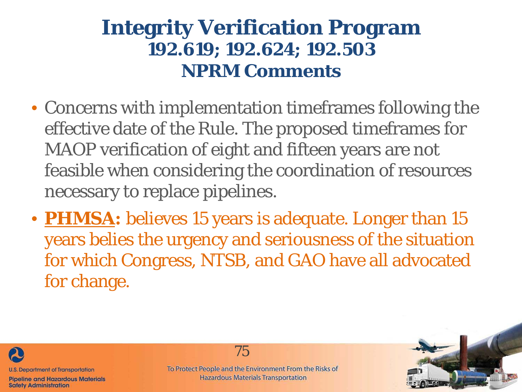- Concerns with implementation timeframes following the effective date of the Rule. The proposed timeframes for MAOP verification of eight and fifteen years are not feasible when considering the coordination of resources necessary to replace pipelines.
- **PHMSA:** believes 15 years is adequate. Longer than 15 years belies the urgency and seriousness of the situation for which Congress, NTSB, and GAO have all advocated for change.



**Safety Administration** 

75

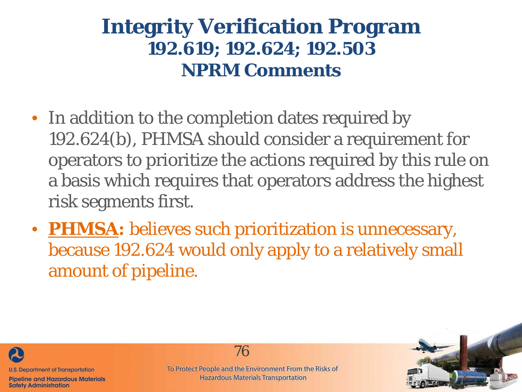- In addition to the completion dates required by 192.624(b), PHMSA should consider a requirement for operators to prioritize the actions required by this rule on a basis which requires that operators address the highest risk segments first.
- **PHMSA:** believes such prioritization is unnecessary, because 192.624 would only apply to a relatively small amount of pipeline.



**Pipeline and Hazardous Materials Safety Administration** 

76

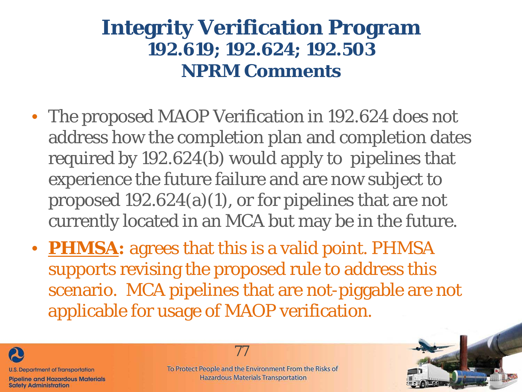- The proposed MAOP Verification in 192.624 does not address how the completion plan and completion dates required by 192.624(b) would apply to pipelines that experience the future failure and are now subject to proposed 192.624(a)(1), or for pipelines that are not currently located in an MCA but may be in the future.
- **PHMSA:** agrees that this is a valid point. PHMSA supports revising the proposed rule to address this scenario. MCA pipelines that are not-piggable are not applicable for usage of MAOP verification.



**Pipeline and Hazardous Materials Safety Administration** 



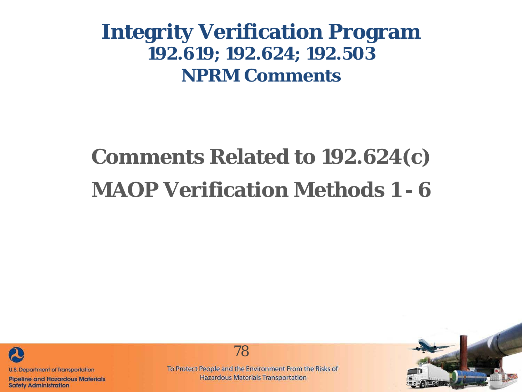# **Comments Related to 192.624(c) MAOP Verification Methods 1 - 6**



**Pipeline and Hazardous Materials Safety Administration** 



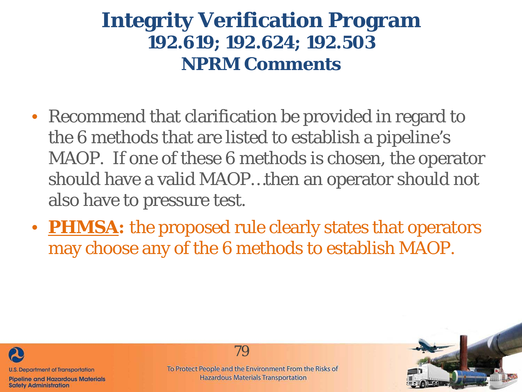- Recommend that clarification be provided in regard to the 6 methods that are listed to establish a pipeline's MAOP. If one of these 6 methods is chosen, the operator should have a valid MAOP…then an operator should not also have to pressure test.
- **PHMSA:** the proposed rule clearly states that operators may choose any of the 6 methods to establish MAOP.



**Pipeline and Hazardous Materials Safety Administration** 

79

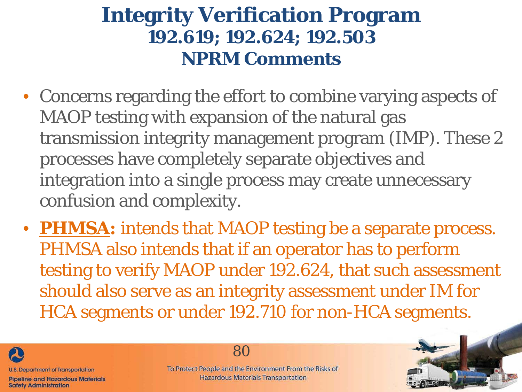- Concerns regarding the effort to combine varying aspects of MAOP testing with expansion of the natural gas transmission integrity management program (IMP). These 2 processes have completely separate objectives and integration into a single process may create unnecessary confusion and complexity.
- **PHMSA:** intends that MAOP testing be a separate process. PHMSA also intends that if an operator has to perform testing to verify MAOP under 192.624, that such assessment should also serve as an integrity assessment under IM for HCA segments or under 192.710 for non-HCA segments.



**Safety Administration** 

80

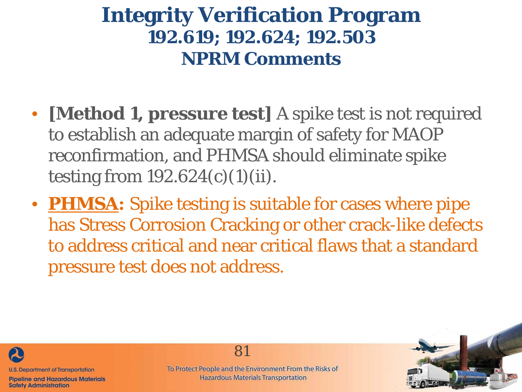- **[Method 1, pressure test]** A spike test is not required to establish an adequate margin of safety for MAOP reconfirmation, and PHMSA should eliminate spike testing from  $192.624(c)(1)(ii)$ .
- **PHMSA:** Spike testing is suitable for cases where pipe has Stress Corrosion Cracking or other crack-like defects to address critical and near critical flaws that a standard pressure test does not address.



**Pipeline and Hazardous Materials Safety Administration** 

81

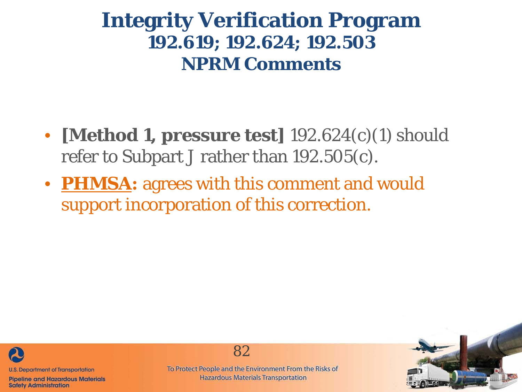- **[Method 1, pressure test]** 192.624(c)(1) should refer to Subpart J rather than 192.505(c).
- **PHMSA:** agrees with this comment and would support incorporation of this correction.



**Pipeline and Hazardous Materials Safety Administration** 



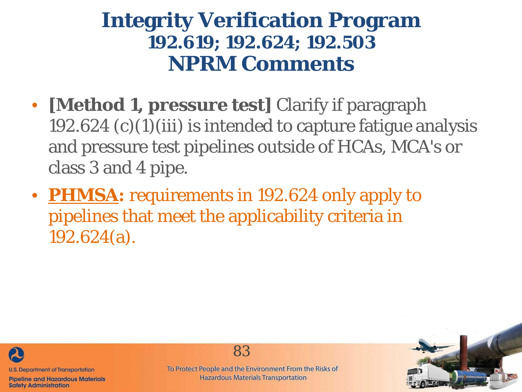- **[Method 1, pressure test]** Clarify if paragraph 192.624  $(c)(1)(iii)$  is intended to capture fatigue analysis and pressure test pipelines outside of HCAs, MCA's or class 3 and 4 pipe.
- **PHMSA:** requirements in 192.624 only apply to pipelines that meet the applicability criteria in 192.624(a).



**Pipeline and Hazardous Materials Safety Administration** 



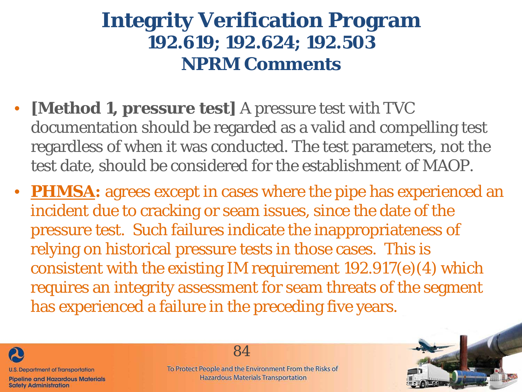- **[Method 1, pressure test]** A pressure test with TVC documentation should be regarded as a valid and compelling test regardless of when it was conducted. The test parameters, not the test date, should be considered for the establishment of MAOP.
- **PHMSA:** agrees except in cases where the pipe has experienced an incident due to cracking or seam issues, since the date of the pressure test. Such failures indicate the inappropriateness of relying on historical pressure tests in those cases. This is consistent with the existing IM requirement 192.917(e)(4) which requires an integrity assessment for seam threats of the segment has experienced a failure in the preceding five years.



**Safety Administration** 

84

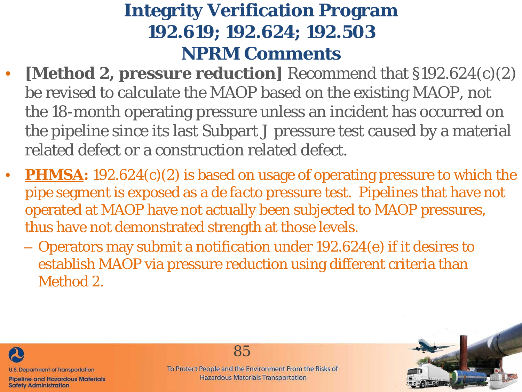- **[Method 2, pressure reduction]** Recommend that §192.624(c)(2) be revised to calculate the MAOP based on the existing MAOP, not the 18-month operating pressure unless an incident has occurred on the pipeline since its last Subpart J pressure test caused by a material related defect or a construction related defect.
- **PHMSA:** 192.624(c)(2) is based on usage of operating pressure to which the pipe segment is exposed as a *de facto* pressure test. Pipelines that have not operated at MAOP have not actually been subjected to MAOP pressures, thus have not demonstrated strength at those levels.
	- Operators may submit a notification under 192.624(e) if it desires to establish MAOP via pressure reduction using different criteria than Method 2.



85

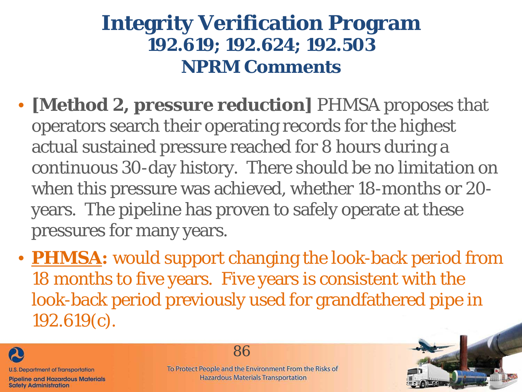- **[Method 2, pressure reduction]** PHMSA proposes that operators search their operating records for the highest actual sustained pressure reached for 8 hours during a continuous 30-day history. There should be no limitation on when this pressure was achieved, whether 18-months or 20 years. The pipeline has proven to safely operate at these pressures for many years.
- **PHMSA:** would support changing the look-back period from 18 months to five years. Five years is consistent with the look-back period previously used for grandfathered pipe in 192.619(c).



**Safety Administration** 

86

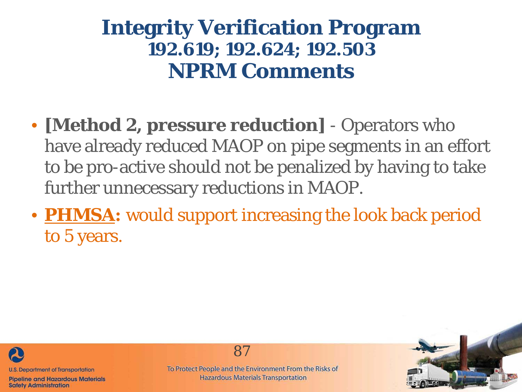- **[Method 2, pressure reduction]**  Operators who have already reduced MAOP on pipe segments in an effort to be pro-active should not be penalized by having to take further unnecessary reductions in MAOP.
- **PHMSA:** would support increasing the look back period to 5 years.



**Pipeline and Hazardous Materials Safety Administration** 

87

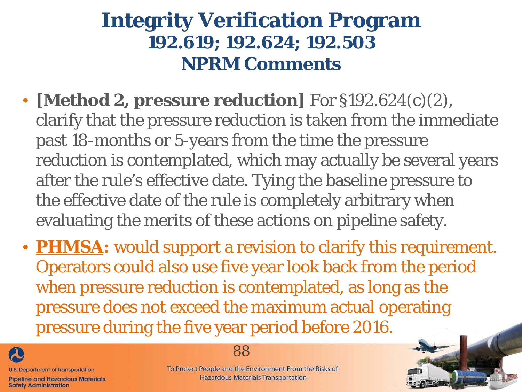- **[Method 2, pressure reduction]** For §192.624(c)(2), clarify that the pressure reduction is taken from the immediate past 18-months or 5-years from the time the pressure reduction is contemplated, which may actually be several years after the rule's effective date. Tying the baseline pressure to the effective date of the rule is completely arbitrary when evaluating the merits of these actions on pipeline safety.
- **PHMSA:** would support a revision to clarify this requirement. Operators could also use five year look back from the period when pressure reduction is contemplated, as long as the pressure does not exceed the maximum actual operating pressure during the five year period before 2016.



**Safety Administration** 

88

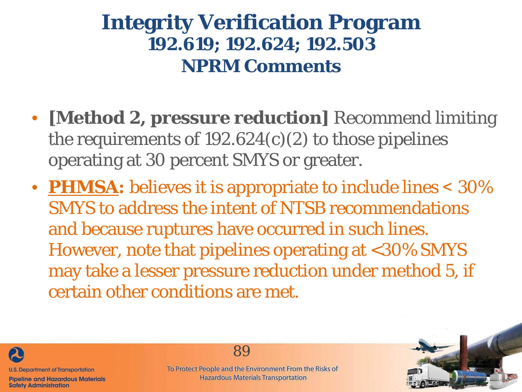- **[Method 2, pressure reduction]** Recommend limiting the requirements of  $192.624(c)(2)$  to those pipelines operating at 30 percent SMYS or greater.
- **PHMSA:** believes it is appropriate to include lines < 30% SMYS to address the intent of NTSB recommendations and because ruptures have occurred in such lines. However, note that pipelines operating at <30% SMYS may take a lesser pressure reduction under method 5, if certain other conditions are met.



**Safety Administration** 

89

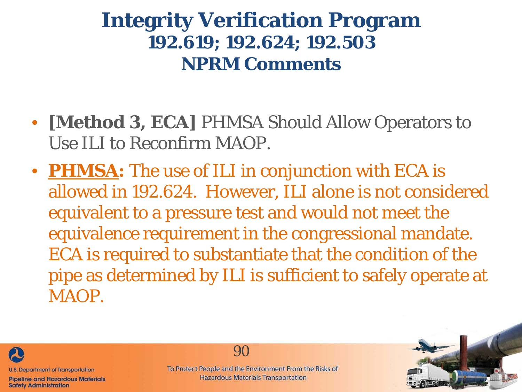- **[Method 3, ECA]** PHMSA Should Allow Operators to Use ILI to Reconfirm MAOP.
- **PHMSA:** The use of ILI in conjunction with ECA is allowed in 192.624. However, ILI alone is not considered equivalent to a pressure test and would not meet the equivalence requirement in the congressional mandate. ECA is required to substantiate that the condition of the pipe as determined by ILI is sufficient to safely operate at MAOP.



**Safety Administration** 

90

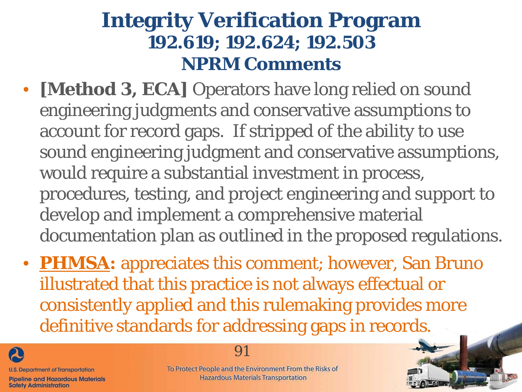- **[Method 3, ECA]** Operators have long relied on sound engineering judgments and conservative assumptions to account for record gaps. If stripped of the ability to use sound engineering judgment and conservative assumptions, would require a substantial investment in process, procedures, testing, and project engineering and support to develop and implement a comprehensive material documentation plan as outlined in the proposed regulations.
- **PHMSA:** appreciates this comment; however, San Bruno illustrated that this practice is not always effectual or consistently applied and this rulemaking provides more definitive standards for addressing gaps in records.



**Safety Administration** 

91

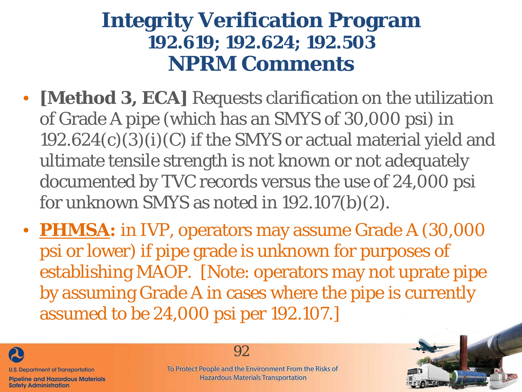- **[Method 3, ECA]** Requests clarification on the utilization of Grade A pipe (which has an SMYS of 30,000 psi) in 192.624(c)(3)(i)(C) if the SMYS or actual material yield and ultimate tensile strength is not known or not adequately documented by TVC records versus the use of 24,000 psi for unknown SMYS as noted in 192.107(b)(2).
- **PHMSA:** in IVP, operators may assume Grade A (30,000 psi or lower) if pipe grade is unknown for purposes of establishing MAOP. [Note: operators may not uprate pipe by assuming Grade A in cases where the pipe is currently assumed to be 24,000 psi per 192.107.]



**Safety Administration** 

92

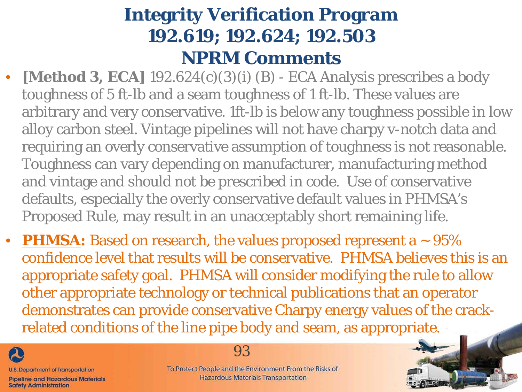- **[Method 3, ECA]** 192.624(c)(3)(i) (B) ECA Analysis prescribes a body toughness of 5 ft-lb and a seam toughness of 1 ft-lb. These values are arbitrary and very conservative. 1ft-lb is below any toughness possible in low alloy carbon steel. Vintage pipelines will not have charpy v-notch data and requiring an overly conservative assumption of toughness is not reasonable. Toughness can vary depending on manufacturer, manufacturing method and vintage and should not be prescribed in code. Use of conservative defaults, especially the overly conservative default values in PHMSA's Proposed Rule, may result in an unacceptably short remaining life.
- **PHMSA:** Based on research, the values proposed represent a  $\sim$  95% confidence level that results will be conservative. PHMSA believes this is an appropriate safety goal. PHMSA will consider modifying the rule to allow other appropriate technology or technical publications that an operator demonstrates can provide conservative Charpy energy values of the crackrelated conditions of the line pipe body and seam, as appropriate.



93

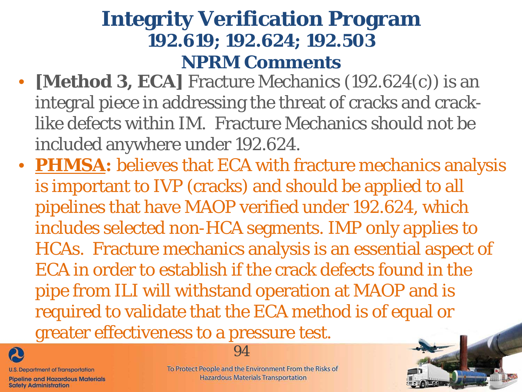- **[Method 3, ECA]** Fracture Mechanics (192.624(c)) is an integral piece in addressing the threat of cracks and cracklike defects within IM. Fracture Mechanics should not be included anywhere under 192.624.
- **PHMSA:** believes that ECA with fracture mechanics analysis is important to IVP (cracks) and should be applied to all pipelines that have MAOP verified under 192.624, which includes selected non-HCA segments. IMP only applies to HCAs. Fracture mechanics analysis is an essential aspect of ECA in order to establish if the crack defects found in the pipe from ILI will withstand operation at MAOP and is required to validate that the ECA method is of equal or greater effectiveness to a pressure test.



**U.S. Department of Transportation** 

**Pipeline and Hazardous Materials Safety Administration** 



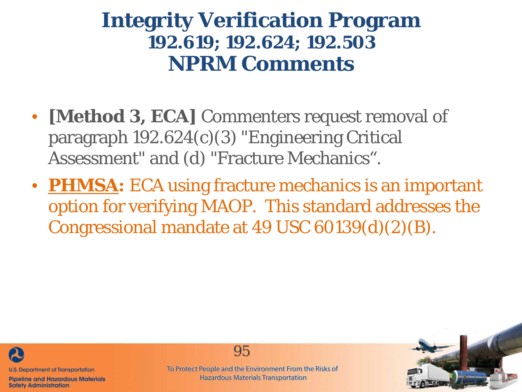- **[Method 3, ECA]** Commenters request removal of paragraph 192.624(c)(3) "Engineering Critical Assessment" and (d) "Fracture Mechanics".
- **PHMSA:** ECA using fracture mechanics is an important option for verifying MAOP. This standard addresses the Congressional mandate at 49 USC 60139(d)(2)(B).



**Pipeline and Hazardous Materials Safety Administration** 

95

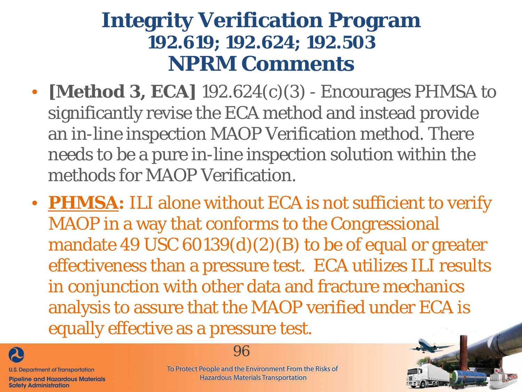- **[Method 3, ECA]** 192.624(c)(3) Encourages PHMSA to significantly revise the ECA method and instead provide an in-line inspection MAOP Verification method. There needs to be a pure in-line inspection solution within the methods for MAOP Verification.
- **PHMSA:** ILI alone without ECA is not sufficient to verify MAOP in a way that conforms to the Congressional mandate 49 USC  $60139(d)(2)(B)$  to be of equal or greater effectiveness than a pressure test. ECA utilizes ILI results in conjunction with other data and fracture mechanics analysis to assure that the MAOP verified under ECA is equally effective as a pressure test.



**Safety Administration** 

96

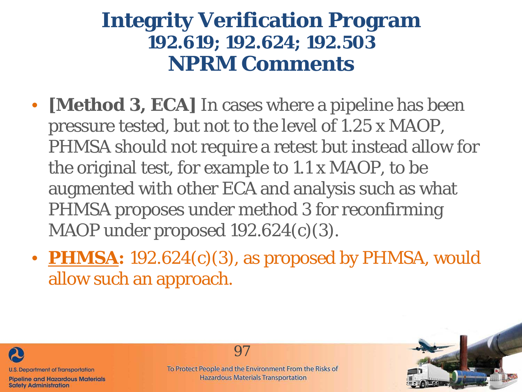- **[Method 3, ECA]** In cases where a pipeline has been pressure tested, but not to the level of 1.25 x MAOP, PHMSA should not require a retest but instead allow for the original test, for example to 1.1 x MAOP, to be augmented with other ECA and analysis such as what PHMSA proposes under method 3 for reconfirming MAOP under proposed 192.624(c)(3).
- **PHMSA:** 192.624(c)(3), as proposed by PHMSA, would allow such an approach.



**Pipeline and Hazardous Materials Safety Administration** 



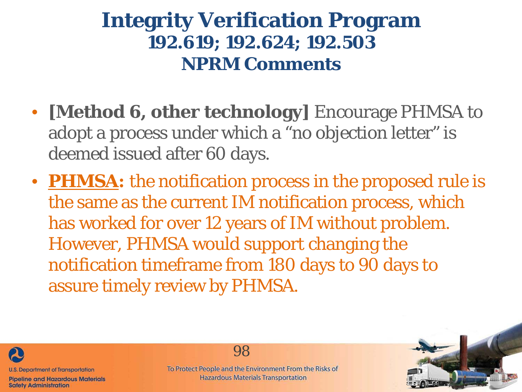- **[Method 6, other technology]** Encourage PHMSA to adopt a process under which a "no objection letter" is deemed issued after 60 days.
- **PHMSA:** the notification process in the proposed rule is the same as the current IM notification process, which has worked for over 12 years of IM without problem. However, PHMSA would support changing the notification timeframe from 180 days to 90 days to assure timely review by PHMSA.



**Safety Administration** 

98

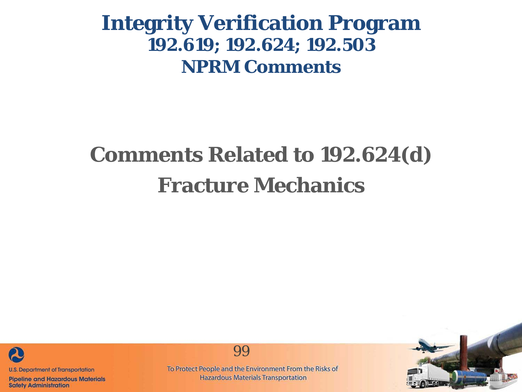# **Comments Related to 192.624(d) Fracture Mechanics**



**Pipeline and Hazardous Materials Safety Administration** 



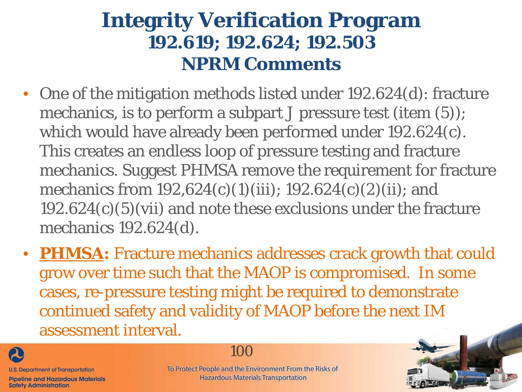- One of the mitigation methods listed under 192.624(d): fracture mechanics, is to perform a subpart J pressure test (item (5)); which would have already been performed under 192.624(c). This creates an endless loop of pressure testing and fracture mechanics. Suggest PHMSA remove the requirement for fracture mechanics from 192,624(c)(1)(iii); 192.624(c)(2)(ii); and 192.624(c)(5)(vii) and note these exclusions under the fracture mechanics 192.624(d).
- **PHMSA:** Fracture mechanics addresses crack growth that could grow over time such that the MAOP is compromised. In some cases, re-pressure testing might be required to demonstrate continued safety and validity of MAOP before the next IM assessment interval.



**Safety Administration** 

100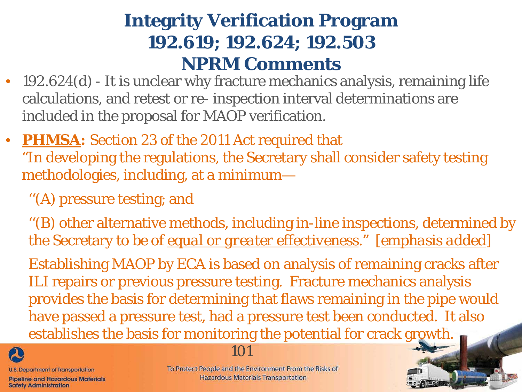- 192.624(d) It is unclear why fracture mechanics analysis, remaining life calculations, and retest or re- inspection interval determinations are included in the proposal for MAOP verification.
- **PHMSA:** Section 23 of the 2011 Act required that "In developing the regulations, the Secretary shall consider safety testing methodologies, including, at a minimum—
	- ''(A) pressure testing; and

''(B) other alternative methods, including in-line inspections, determined by the Secretary to be of *equal or greater effectiveness*." [*emphasis added*]

Establishing MAOP by ECA is based on analysis of remaining cracks after ILI repairs or previous pressure testing. Fracture mechanics analysis provides the basis for determining that flaws remaining in the pipe would have passed a pressure test, had a pressure test been conducted. It also establishes the basis for monitoring the potential for crack growth.



**U.S. Department of Transportation** 

**Pipeline and Hazardous Materials Safety Administration** 

To Protect People and the Environment From the Risks of **Hazardous Materials Transportation** 

101

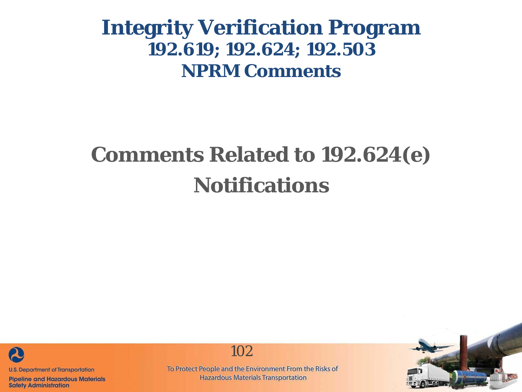# **Comments Related to 192.624(e) Notifications**



**Pipeline and Hazardous Materials Safety Administration** 

To Protect People and the Environment From the Risks of **Hazardous Materials Transportation** 

102

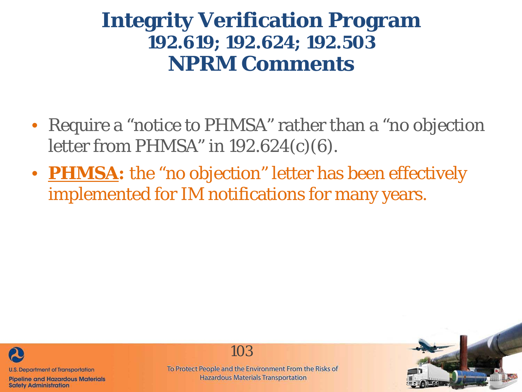- Require a "notice to PHMSA" rather than a "no objection letter from PHMSA" in 192.624(c)(6).
- **PHMSA:** the "no objection" letter has been effectively implemented for IM notifications for many years.



**Pipeline and Hazardous Materials Safety Administration** 

103

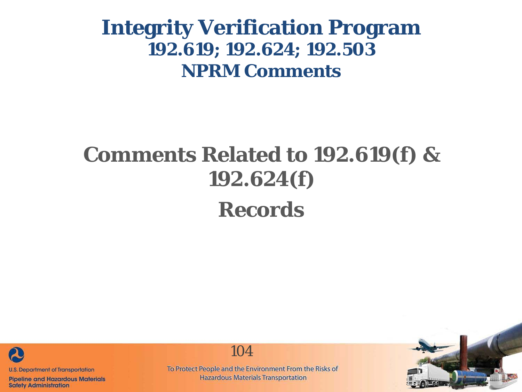# **Comments Related to 192.619(f) & 192.624(f) Records**



**Pipeline and Hazardous Materials Safety Administration** 

To Protect People and the Environment From the Risks of **Hazardous Materials Transportation** 

104

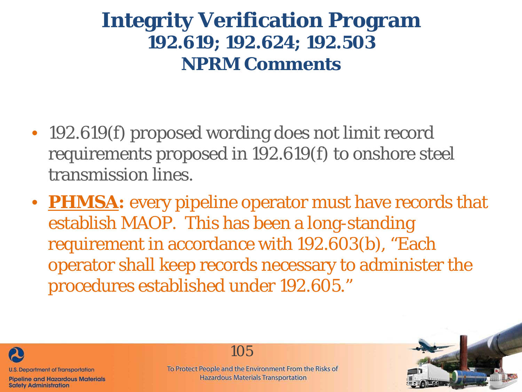- 192.619(f) proposed wording does not limit record requirements proposed in 192.619(f) to onshore steel transmission lines.
- **PHMSA:** every pipeline operator must have records that establish MAOP. This has been a long-standing requirement in accordance with 192.603(b), "Each operator shall keep records necessary to administer the procedures established under 192.605."



**Safety Administration** 

105

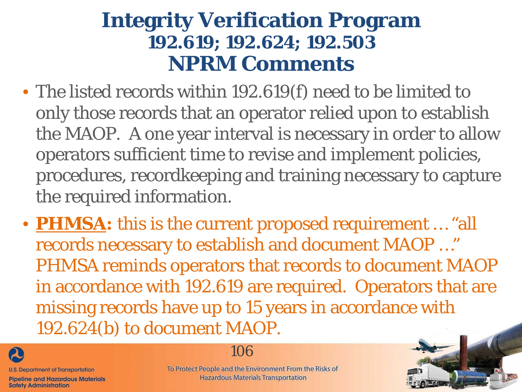- The listed records within 192.619(f) need to be limited to only those records that an operator relied upon to establish the MAOP. A one year interval is necessary in order to allow operators sufficient time to revise and implement policies, procedures, recordkeeping and training necessary to capture the required information.
- **PHMSA:** this is the current proposed requirement … "all records necessary to establish and document MAOP …" PHMSA reminds operators that records to document MAOP in accordance with 192.619 are required. Operators that are missing records have up to 15 years in accordance with 192.624(b) to document MAOP.



**Safety Administration** 

#### 106

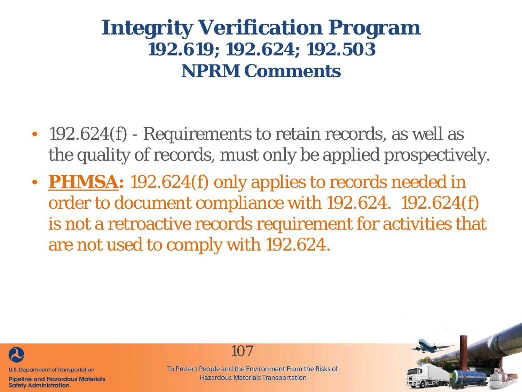- 192.624(f) Requirements to retain records, as well as the quality of records, must only be applied prospectively.
- **PHMSA:** 192.624(f) only applies to records needed in order to document compliance with 192.624. 192.624(f) is not a retroactive records requirement for activities that are not used to comply with 192.624.



**Pipeline and Hazardous Materials Safety Administration** 

107

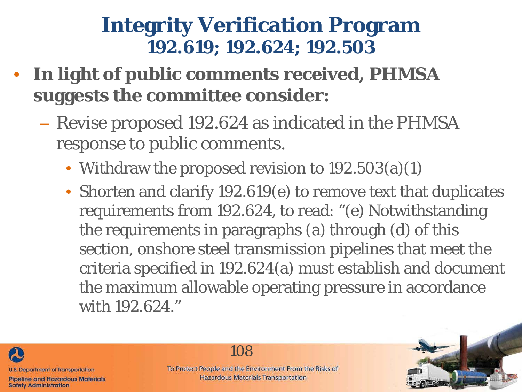### **Integrity Verification Program 192.619; 192.624; 192.503**

- **In light of public comments received, PHMSA suggests the committee consider:**
	- Revise proposed 192.624 as indicated in the PHMSA response to public comments.
		- Withdraw the proposed revision to 192.503(a)(1)
		- Shorten and clarify 192.619(e) to remove text that duplicates requirements from 192.624, to read: "(e) Notwithstanding the requirements in paragraphs (a) through (d) of this section, onshore steel transmission pipelines that meet the criteria specified in 192.624(a) must establish and document the maximum allowable operating pressure in accordance with 192.624."



108

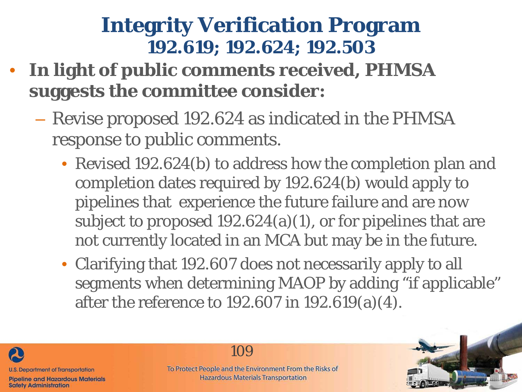- **In light of public comments received, PHMSA suggests the committee consider:**
	- Revise proposed 192.624 as indicated in the PHMSA response to public comments.
		- Revised 192.624(b) to address how the completion plan and completion dates required by 192.624(b) would apply to pipelines that experience the future failure and are now subject to proposed 192.624(a)(1), or for pipelines that are not currently located in an MCA but may be in the future.
		- Clarifying that 192.607 does not necessarily apply to all segments when determining MAOP by adding "if applicable" after the reference to 192.607 in 192.619(a)(4).





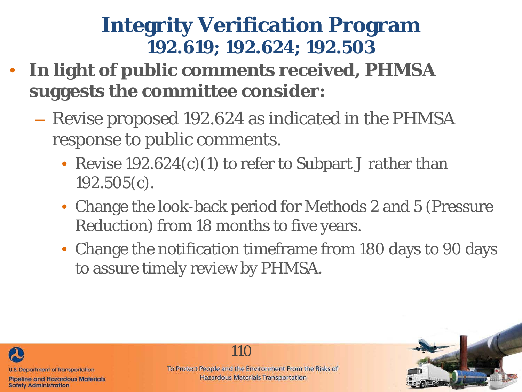- **In light of public comments received, PHMSA suggests the committee consider:**
	- Revise proposed 192.624 as indicated in the PHMSA response to public comments.
		- Revise 192.624(c)(1) to refer to Subpart J rather than 192.505(c).
		- Change the look-back period for Methods 2 and 5 (Pressure Reduction) from 18 months to five years.
		- Change the notification timeframe from 180 days to 90 days to assure timely review by PHMSA.



110

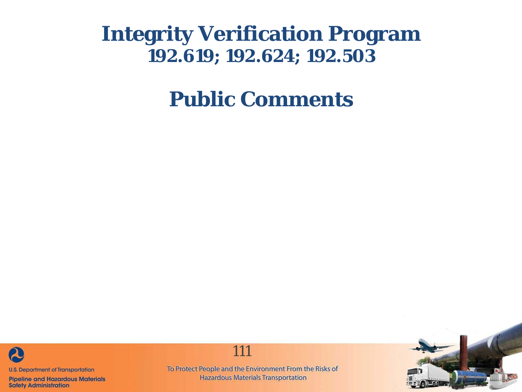**Public Comments**



**Pipeline and Hazardous Materials Safety Administration** 

To Protect People and the Environment From the Risks of **Hazardous Materials Transportation** 

111

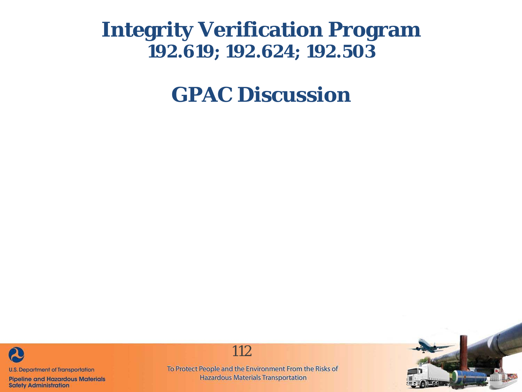**GPAC Discussion**



**Pipeline and Hazardous Materials Safety Administration** 

112

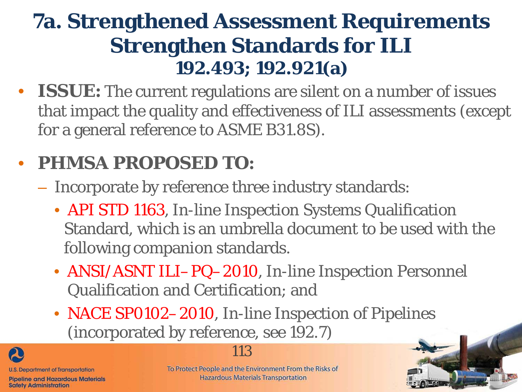• **ISSUE:** The current regulations are silent on a number of issues that impact the quality and effectiveness of ILI assessments (except for a general reference to ASME B31.8S).

# • **PHMSA PROPOSED TO:**

- Incorporate by reference three industry standards:
	- API STD 1163, In-line Inspection Systems Qualification Standard, which is an umbrella document to be used with the following companion standards.
	- ANSI/ASNT ILI–PQ–2010, In-line Inspection Personnel Qualification and Certification; and
	- NACE SP0102-2010, In-line Inspection of Pipelines (incorporated by reference, see 192.7)

**U.S. Department of Transportation Pipeline and Hazardous Materials** 

**Safety Administration** 

#### 113

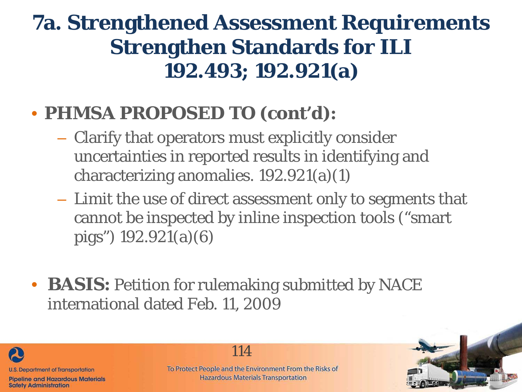### • **PHMSA PROPOSED TO (cont'd):**

- Clarify that operators must explicitly consider uncertainties in reported results in identifying and characterizing anomalies. 192.921(a)(1)
- Limit the use of direct assessment only to segments that cannot be inspected by inline inspection tools ("smart pigs") 192.921(a)(6)
- **BASIS:** Petition for rulemaking submitted by NACE international dated Feb. 11, 2009



**Safety Administration** 

114

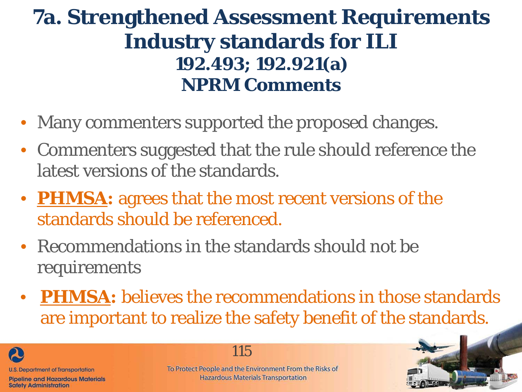- Many commenters supported the proposed changes.
- Commenters suggested that the rule should reference the latest versions of the standards.
- **PHMSA:** agrees that the most recent versions of the standards should be referenced.
- Recommendations in the standards should not be requirements
- **PHMSA:** believes the recommendations in those standards are important to realize the safety benefit of the standards.

**U.S. Department of Transportation Pipeline and Hazardous Materials** 

**Safety Administration** 

20

115

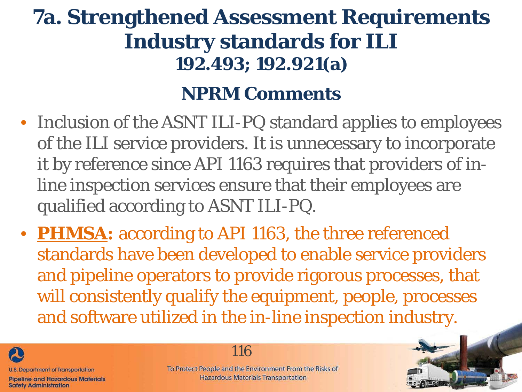#### **NPRM Comments**

- Inclusion of the ASNT ILI-PQ standard applies to employees of the ILI service providers. It is unnecessary to incorporate it by reference since API 1163 requires that providers of inline inspection services ensure that their employees are qualified according to ASNT ILI-PQ.
- **PHMSA:** according to API 1163, the three referenced standards have been developed to enable service providers and pipeline operators to provide rigorous processes, that will consistently qualify the equipment, people, processes and software utilized in the in-line inspection industry.



**Safety Administration** 

116

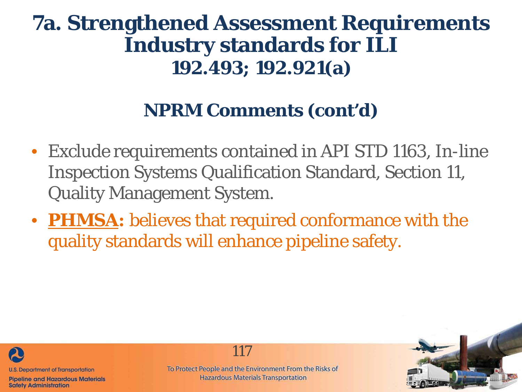#### **NPRM Comments (cont'd)**

- Exclude requirements contained in API STD 1163, In-line Inspection Systems Qualification Standard, Section 11, Quality Management System.
- **PHMSA:** believes that required conformance with the quality standards will enhance pipeline safety.



**Pipeline and Hazardous Materials Safety Administration** 

To Protect People and the Environment From the Risks of **Hazardous Materials Transportation** 

117

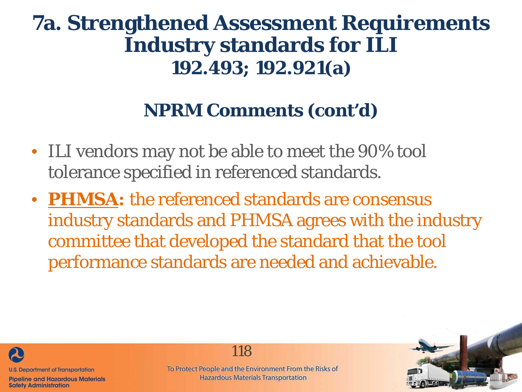#### **NPRM Comments (cont'd)**

- ILI vendors may not be able to meet the 90% tool tolerance specified in referenced standards.
- **PHMSA:** the referenced standards are consensus industry standards and PHMSA agrees with the industry committee that developed the standard that the tool performance standards are needed and achievable.



**Pipeline and Hazardous Materials Safety Administration** 

118

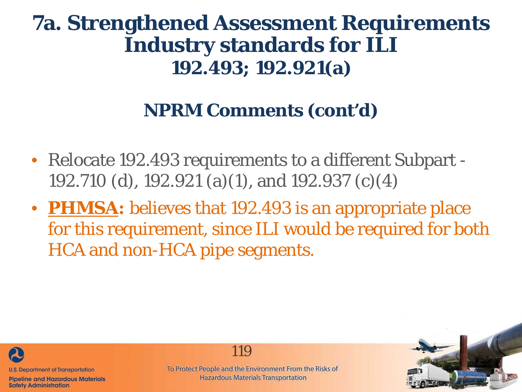#### **NPRM Comments (cont'd)**

- Relocate 192.493 requirements to a different Subpart 192.710 (d), 192.921 (a)(1), and 192.937 (c)(4)
- **PHMSA:** believes that 192.493 is an appropriate place for this requirement, since ILI would be required for both HCA and non-HCA pipe segments.



**Pipeline and Hazardous Materials Safety Administration** 

119

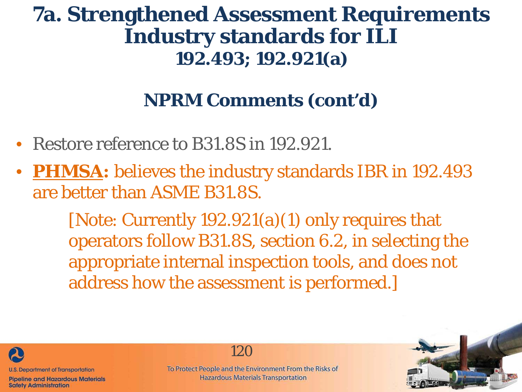### **NPRM Comments (cont'd)**

- Restore reference to B31.8S in 192.921.
- **PHMSA:** believes the industry standards IBR in 192.493 are better than ASME B31.8S.

[Note: Currently 192.921(a)(1) only requires that operators follow B31.8S, section 6.2, in selecting the appropriate internal inspection tools, and does not address how the assessment is performed.]



**Safety Administration** 

120

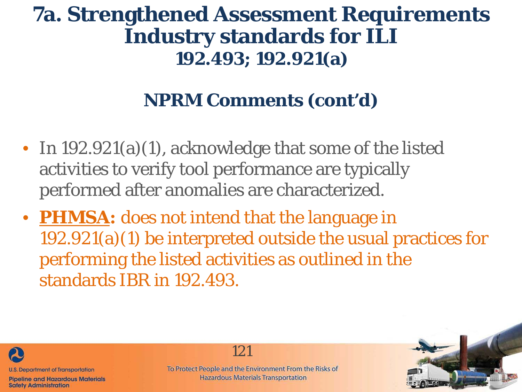### **NPRM Comments (cont'd)**

- In 192.921(a)(1), acknowledge that some of the listed activities to verify tool performance are typically performed after anomalies are characterized.
- **PHMSA:** does not intend that the language in 192.921(a)(1) be interpreted outside the usual practices for performing the listed activities as outlined in the standards IBR in 192.493.



**Pipeline and Hazardous Materials Safety Administration** 

121

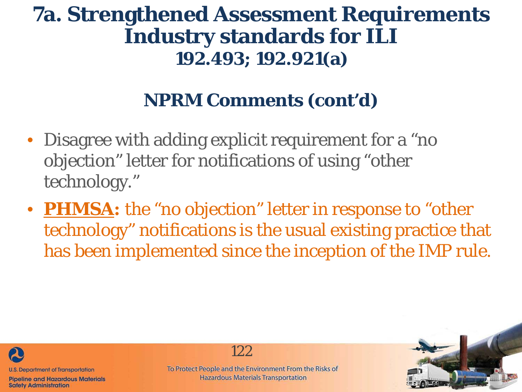### **NPRM Comments (cont'd)**

- Disagree with adding explicit requirement for a "no objection" letter for notifications of using "other technology."
- **PHMSA:** the "no objection" letter in response to "other technology" notifications is the usual existing practice that has been implemented since the inception of the IMP rule.



**Pipeline and Hazardous Materials Safety Administration** 

122

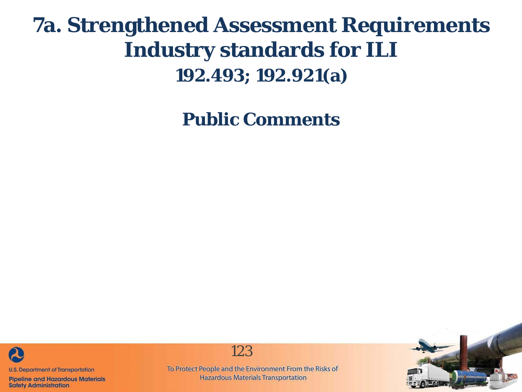**Public Comments**



**Pipeline and Hazardous Materials Safety Administration** 



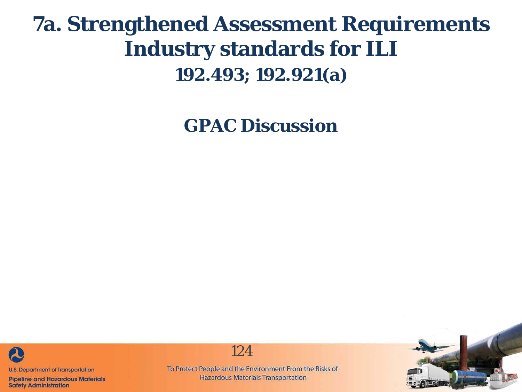**GPAC Discussion**



**Pipeline and Hazardous Materials Safety Administration** 

124

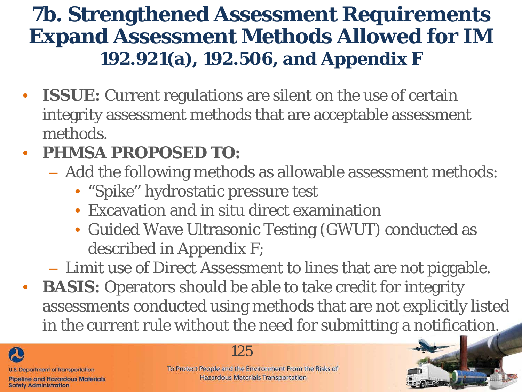- **ISSUE:** Current regulations are silent on the use of certain integrity assessment methods that are acceptable assessment methods.
- **PHMSA PROPOSED TO:** 
	- Add the following methods as allowable assessment methods:
		- "Spike'' hydrostatic pressure test
		- Excavation and *in situ* direct examination
		- Guided Wave Ultrasonic Testing (GWUT) conducted as described in Appendix F;
	- Limit use of Direct Assessment to lines that are not piggable.
- **BASIS:** Operators should be able to take credit for integrity assessments conducted using methods that are not explicitly listed in the current rule without the need for submitting a notification.



#### 125

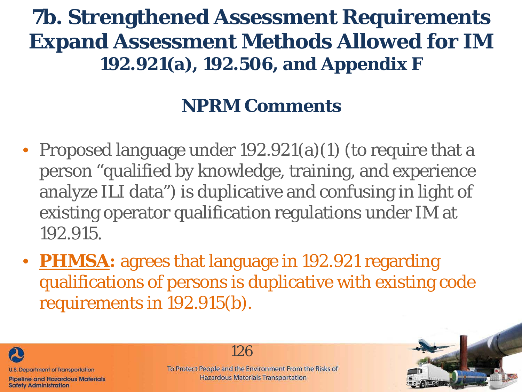### **NPRM Comments**

- Proposed language under 192.921(a)(1) (to require that a person "qualified by knowledge, training, and experience analyze ILI data") is duplicative and confusing in light of existing operator qualification regulations under IM at 192.915.
- **PHMSA:** agrees that language in 192.921 regarding qualifications of persons is duplicative with existing code requirements in 192.915(b).



**Safety Administration** 

126

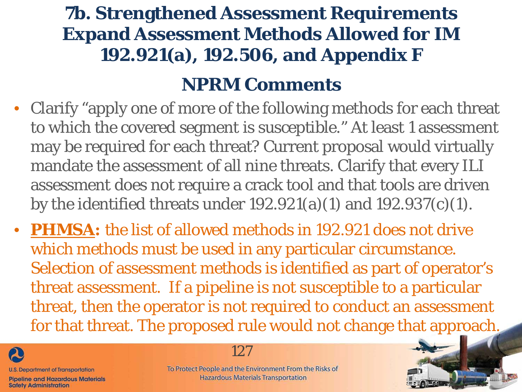#### **NPRM Comments**

- Clarify "apply one of more of the following methods for each threat to which the covered segment is susceptible." At least 1 assessment may be required for each threat? Current proposal would virtually mandate the assessment of all nine threats. Clarify that every ILI assessment does not require a crack tool and that tools are driven by the identified threats under 192.921(a)(1) and 192.937(c)(1).
- **PHMSA:** the list of allowed methods in 192.921 does not drive which methods must be used in any particular circumstance. Selection of assessment methods is identified as part of operator's threat assessment. If a pipeline is not susceptible to a particular threat, then the operator is not required to conduct an assessment for that threat. The proposed rule would not change that approach.



**Safety Administration** 

127

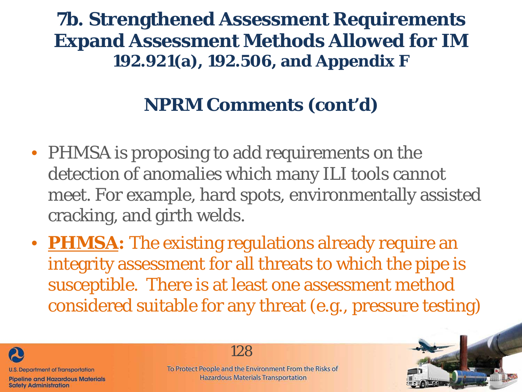### **NPRM Comments (cont'd)**

- PHMSA is proposing to add requirements on the detection of anomalies which many ILI tools cannot meet. For example, hard spots, environmentally assisted cracking, and girth welds.
- **PHMSA:** The existing regulations already require an integrity assessment for all threats to which the pipe is susceptible. There is at least one assessment method considered suitable for any threat (e.g., pressure testing)



**Safety Administration** 

128

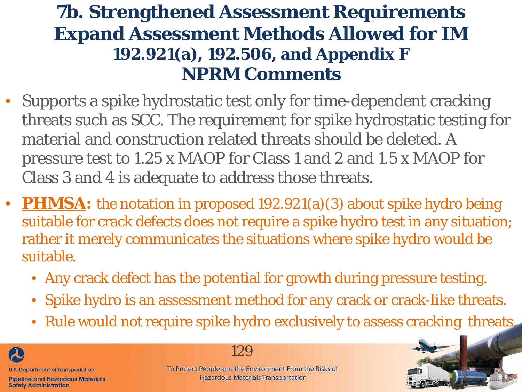- Supports a spike hydrostatic test only for time-dependent cracking threats such as SCC. The requirement for spike hydrostatic testing for material and construction related threats should be deleted. A pressure test to 1.25 x MAOP for Class 1 and 2 and 1.5 x MAOP for Class 3 and 4 is adequate to address those threats.
- **PHMSA:** the notation in proposed 192.921(a)(3) about spike hydro being suitable for crack defects does not require a spike hydro test in any situation; rather it merely communicates the situations where spike hydro would be suitable.
	- Any crack defect has the potential for growth during pressure testing.
	- Spike hydro is an assessment method for any crack or crack-like threats.
	- Rule would not require spike hydro exclusively to assess cracking threats.



#### 129

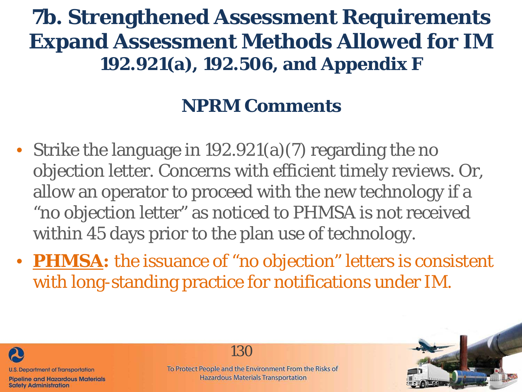### **NPRM Comments**

- Strike the language in 192.921(a)(7) regarding the no objection letter. Concerns with efficient timely reviews. Or, allow an operator to proceed with the new technology if a "no objection letter" as noticed to PHMSA is not received within 45 days prior to the plan use of technology.
- **PHMSA:** the issuance of "no objection" letters is consistent with long-standing practice for notifications under IM.



**Safety Administration** 

130

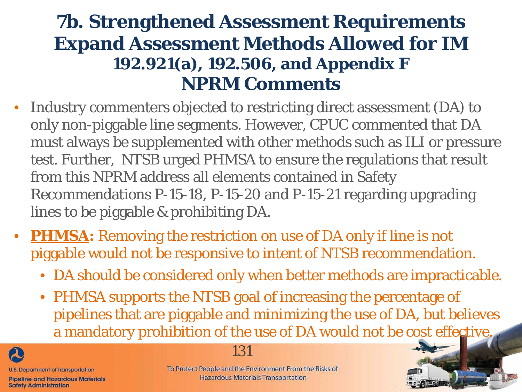- Industry commenters objected to restricting direct assessment (DA) to only non-piggable line segments. However, CPUC commented that DA must always be supplemented with other methods such as ILI or pressure test. Further, NTSB urged PHMSA to ensure the regulations that result from this NPRM address all elements contained in Safety Recommendations P-15-18, P-15-20 and P-15-21 regarding upgrading lines to be piggable & prohibiting DA.
- **PHMSA:** Removing the restriction on use of DA only if line is not piggable would not be responsive to intent of NTSB recommendation.
	- DA should be considered only when better methods are impracticable.
	- PHMSA supports the NTSB goal of increasing the percentage of pipelines that are piggable and minimizing the use of DA, but believes a mandatory prohibition of the use of DA would not be cost effective.



**Safety Administration** 



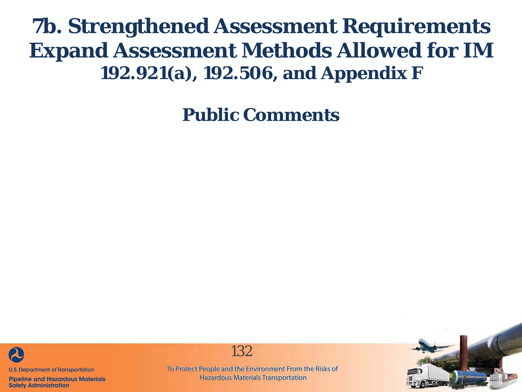**Public Comments**



**Pipeline and Hazardous Materials Safety Administration** 



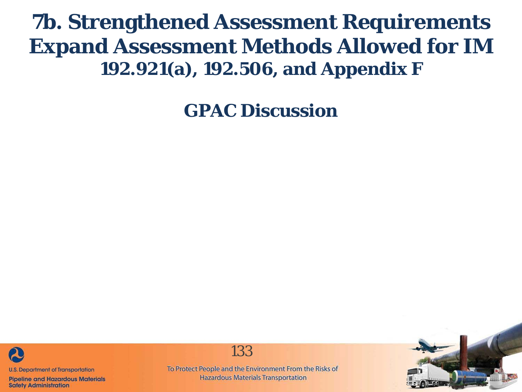**GPAC Discussion**



**Pipeline and Hazardous Materials Safety Administration** 



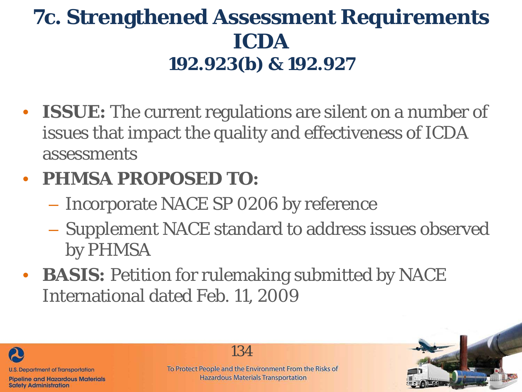# **7c. Strengthened Assessment Requirements ICDA 192.923(b) & 192.927**

• **ISSUE:** The current regulations are silent on a number of issues that impact the quality and effectiveness of ICDA assessments

### • **PHMSA PROPOSED TO:**

- Incorporate NACE SP 0206 by reference
- Supplement NACE standard to address issues observed by PHMSA
- **BASIS:** Petition for rulemaking submitted by NACE International dated Feb. 11, 2009



**Safety Administration** 

134

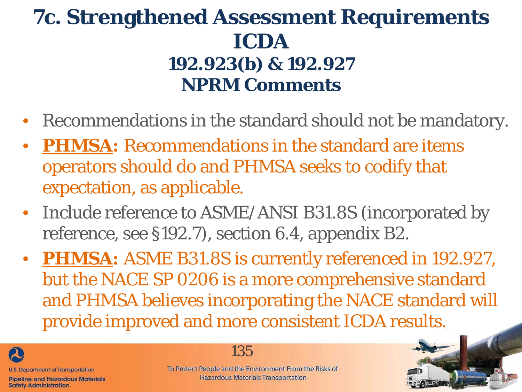- Recommendations in the standard should not be mandatory.
- **PHMSA:** Recommendations in the standard are items operators should do and PHMSA seeks to codify that expectation, as applicable.
- Include reference to ASME/ANSI B31.8S (incorporated by reference, see §192.7), section 6.4, appendix B2.
- **PHMSA:** ASME B31.8S is currently referenced in 192.927, but the NACE SP 0206 is a more comprehensive standard and PHMSA believes incorporating the NACE standard will provide improved and more consistent ICDA results.



**Safety Administration** 

135

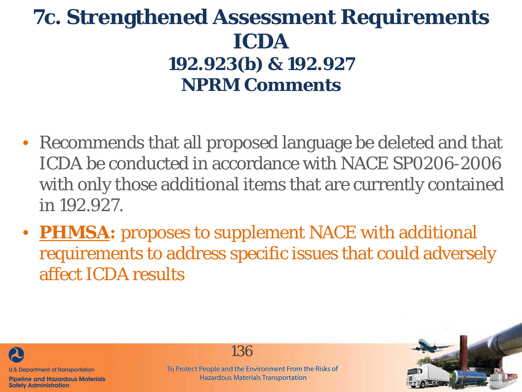- Recommends that all proposed language be deleted and that ICDA be conducted in accordance with NACE SP0206-2006 with only those additional items that are currently contained in 192.927.
- **PHMSA:** proposes to supplement NACE with additional requirements to address specific issues that could adversely affect ICDA results



**Safety Administration** 

136

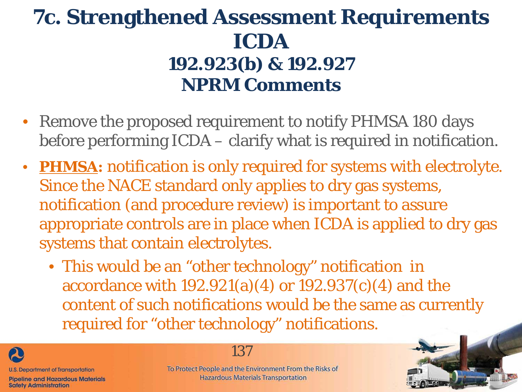- Remove the proposed requirement to notify PHMSA 180 days before performing ICDA – clarify what is required in notification.
- **PHMSA:** notification is only required for systems with electrolyte. Since the NACE standard only applies to dry gas systems, notification (and procedure review) is important to assure appropriate controls are in place when ICDA is applied to dry gas systems that contain electrolytes.
	- This would be an "other technology" notification in accordance with 192.921(a)(4) or 192.937(c)(4) and the content of such notifications would be the same as currently required for "other technology" notifications.



137

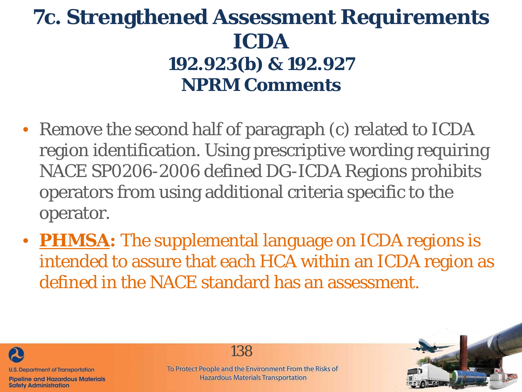- Remove the second half of paragraph (c) related to ICDA region identification. Using prescriptive wording requiring NACE SP0206-2006 defined DG-ICDA Regions prohibits operators from using additional criteria specific to the operator.
- **PHMSA:** The supplemental language on ICDA regions is intended to assure that each HCA within an ICDA region as defined in the NACE standard has an assessment.



**Safety Administration** 

138

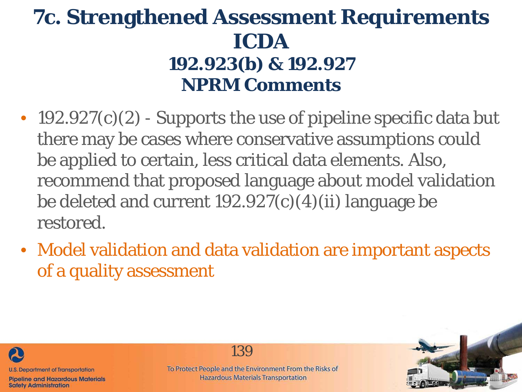- 192.927(c)(2) Supports the use of pipeline specific data but there may be cases where conservative assumptions could be applied to certain, less critical data elements. Also, recommend that proposed language about model validation be deleted and current  $192.927(c)(4)(ii)$  language be restored.
- Model validation and data validation are important aspects of a quality assessment



**Safety Administration** 

139

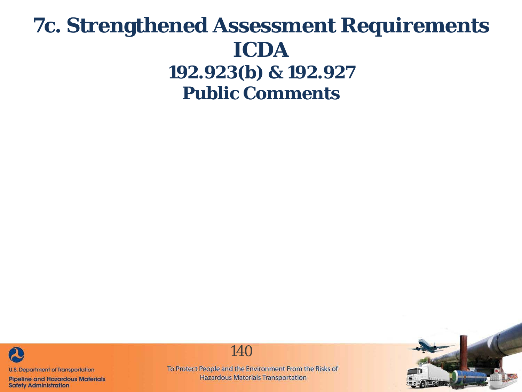

**Pipeline and Hazardous Materials Safety Administration** 



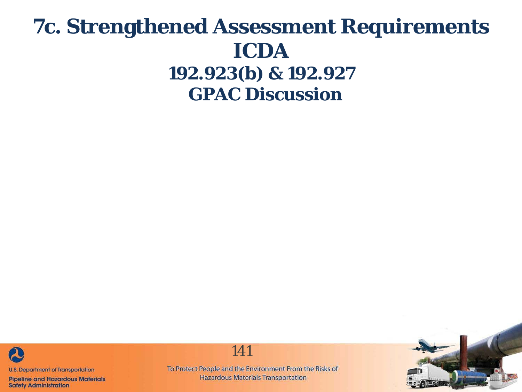### **7c. Strengthened Assessment Requirements ICDA 192.923(b) & 192.927 GPAC Discussion**



**Pipeline and Hazardous Materials Safety Administration** 

141

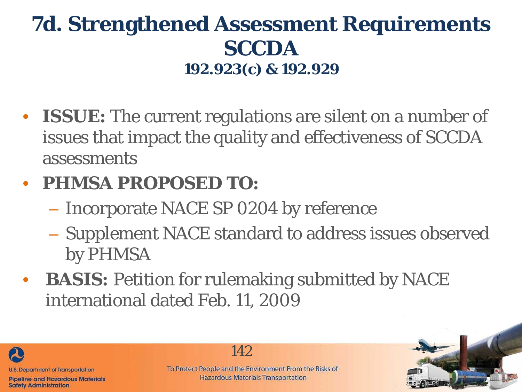# **7d. Strengthened Assessment Requirements SCCDA 192.923(c) & 192.929**

• **ISSUE:** The current regulations are silent on a number of issues that impact the quality and effectiveness of SCCDA assessments

### • **PHMSA PROPOSED TO:**

- Incorporate NACE SP 0204 by reference
- Supplement NACE standard to address issues observed by PHMSA
- **BASIS:** Petition for rulemaking submitted by NACE international dated Feb. 11, 2009



**Safety Administration** 

142

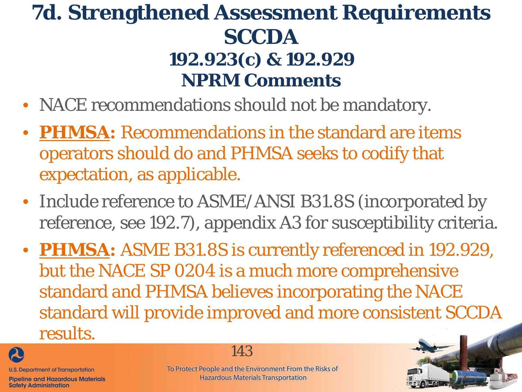- NACE recommendations should not be mandatory.
- **PHMSA: Recommendations in the standard are items** operators should do and PHMSA seeks to codify that expectation, as applicable.
- Include reference to ASME/ANSI B31.8S (incorporated by reference, see 192.7), appendix A3 for susceptibility criteria.
- **PHMSA:** ASME B31.8S is currently referenced in 192.929, but the NACE SP 0204 is a much more comprehensive standard and PHMSA believes incorporating the NACE standard will provide improved and more consistent SCCDA results.



**Safety Administration** 

**Pipeline and Hazardous Materials** 

143

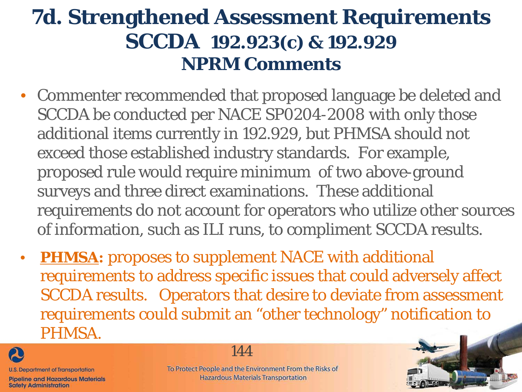- Commenter recommended that proposed language be deleted and SCCDA be conducted per NACE SP0204-2008 with only those additional items currently in 192.929, but PHMSA should not exceed those established industry standards. For example, proposed rule would require minimum of two above-ground surveys and three direct examinations. These additional requirements do not account for operators who utilize other sources of information, such as ILI runs, to compliment SCCDA results.
- **PHMSA:** proposes to supplement NACE with additional requirements to address specific issues that could adversely affect SCCDA results. Operators that desire to deviate from assessment requirements could submit an "other technology" notification to PHMSA.



144

**Pipeline and Hazardous Materials Safety Administration** 

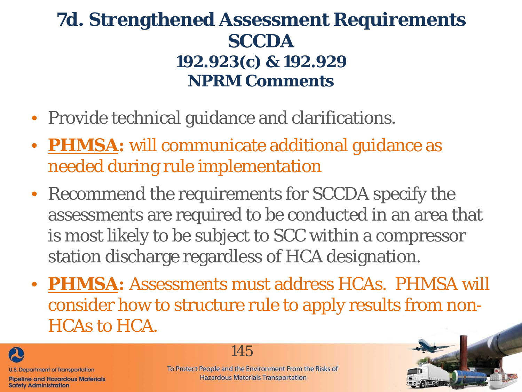#### **7d. Strengthened Assessment Requirements SCCDA 192.923(c) & 192.929 NPRM Comments**

- Provide technical guidance and clarifications.
- **PHMSA:** will communicate additional guidance as needed during rule implementation
- Recommend the requirements for SCCDA specify the assessments are required to be conducted in an area that is most likely to be subject to SCC within a compressor station discharge regardless of HCA designation.
- **PHMSA:** Assessments must address HCAs. PHMSA will consider how to structure rule to apply results from non-HCAs to HCA.



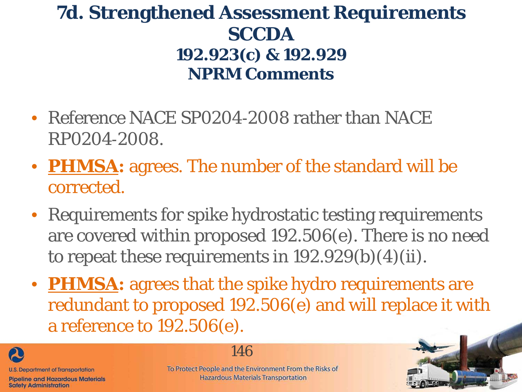#### **7d. Strengthened Assessment Requirements SCCDA 192.923(c) & 192.929 NPRM Comments**

- Reference NACE SP0204-2008 rather than NACE RP0204‐2008.
- **PHMSA:** agrees. The number of the standard will be corrected.
- Requirements for spike hydrostatic testing requirements are covered within proposed 192.506(e). There is no need to repeat these requirements in  $192.929(b)(4)(ii)$ .
- **PHMSA:** agrees that the spike hydro requirements are redundant to proposed 192.506(e) and will replace it with a reference to 192.506(e).



**Safety Administration** 

146

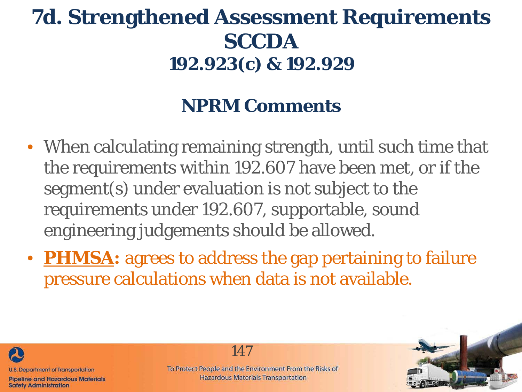# **7d. Strengthened Assessment Requirements SCCDA 192.923(c) & 192.929**

## **NPRM Comments**

- When calculating remaining strength, until such time that the requirements within 192.607 have been met, or if the segment(s) under evaluation is not subject to the requirements under 192.607, supportable, sound engineering judgements should be allowed.
- **PHMSA:** agrees to address the gap pertaining to failure pressure calculations when data is not available.



**Pipeline and Hazardous Materials Safety Administration** 

147

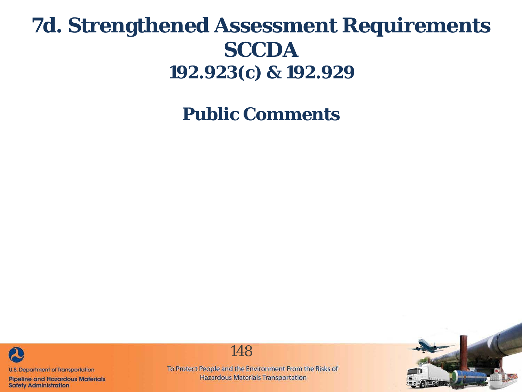# **7d. Strengthened Assessment Requirements SCCDA 192.923(c) & 192.929**

**Public Comments**



**Pipeline and Hazardous Materials Safety Administration** 

148

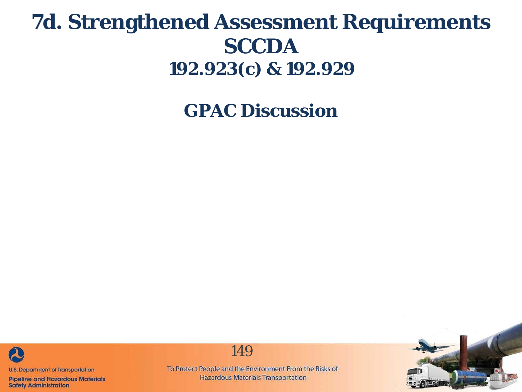## **7d. Strengthened Assessment Requirements SCCDA 192.923(c) & 192.929**

**GPAC Discussion**



**Pipeline and Hazardous Materials Safety Administration** 



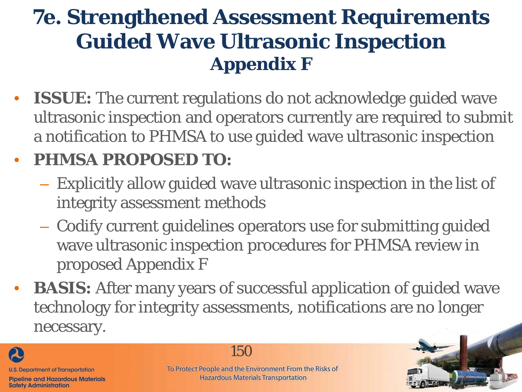# **7e. Strengthened Assessment Requirements Guided Wave Ultrasonic Inspection Appendix F**

• **ISSUE:** The current regulations do not acknowledge guided wave ultrasonic inspection and operators currently are required to submit a notification to PHMSA to use guided wave ultrasonic inspection

#### • **PHMSA PROPOSED TO:**

- Explicitly allow guided wave ultrasonic inspection in the list of integrity assessment methods
- Codify current guidelines operators use for submitting guided wave ultrasonic inspection procedures for PHMSA review in proposed Appendix F
- **BASIS:** After many years of successful application of guided wave technology for integrity assessments, notifications are no longer necessary.



150

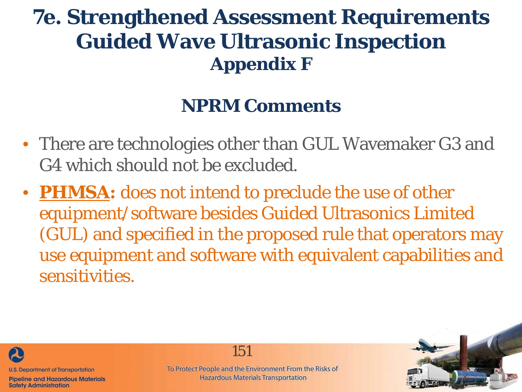# **7e. Strengthened Assessment Requirements Guided Wave Ultrasonic Inspection Appendix F**

## **NPRM Comments**

- There are technologies other than GUL Wavemaker G3 and G4 which should not be excluded.
- **PHMSA:** does not intend to preclude the use of other equipment/software besides Guided Ultrasonics Limited (GUL) and specified in the proposed rule that operators may use equipment and software with equivalent capabilities and sensitivities.



**Safety Administration** 

To Protect People and the Environment From the Risks of **Hazardous Materials Transportation** 

151

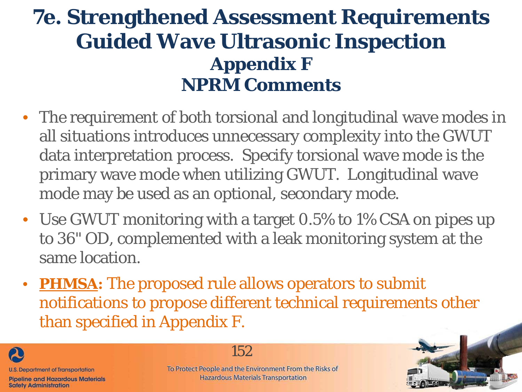# **7e. Strengthened Assessment Requirements Guided Wave Ultrasonic Inspection Appendix F NPRM Comments**

- The requirement of both torsional and longitudinal wave modes in all situations introduces unnecessary complexity into the GWUT data interpretation process. Specify torsional wave mode is the primary wave mode when utilizing GWUT. Longitudinal wave mode may be used as an optional, secondary mode.
- Use GWUT monitoring with a target 0.5% to 1% CSA on pipes up to 36" OD, complemented with a leak monitoring system at the same location.
- **PHMSA:** The proposed rule allows operators to submit notifications to propose different technical requirements other than specified in Appendix F.



152

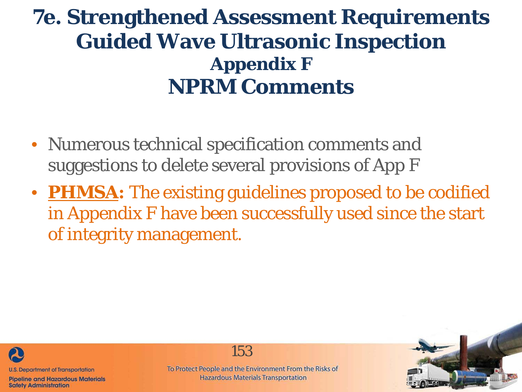# **7e. Strengthened Assessment Requirements Guided Wave Ultrasonic Inspection Appendix F NPRM Comments**

- Numerous technical specification comments and suggestions to delete several provisions of App F
- **PHMSA:** The existing guidelines proposed to be codified in Appendix F have been successfully used since the start of integrity management.



**Pipeline and Hazardous Materials Safety Administration** 

To Protect People and the Environment From the Risks of **Hazardous Materials Transportation** 

153

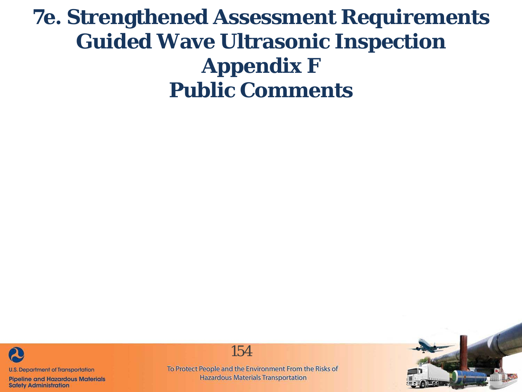# **7e. Strengthened Assessment Requirements Guided Wave Ultrasonic Inspection Appendix F Public Comments**



**Pipeline and Hazardous Materials Safety Administration** 

154

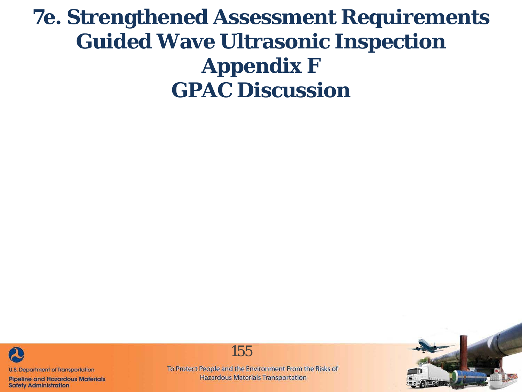# **7e. Strengthened Assessment Requirements Guided Wave Ultrasonic Inspection Appendix F GPAC Discussion**



**Pipeline and Hazardous Materials Safety Administration** 

155

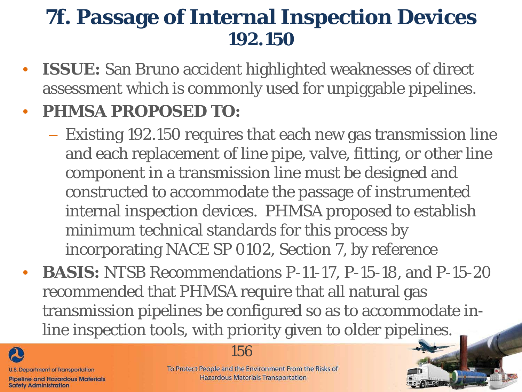# **7f. Passage of Internal Inspection Devices 192.150**

• **ISSUE:** San Bruno accident highlighted weaknesses of direct assessment which is commonly used for unpiggable pipelines.

#### • **PHMSA PROPOSED TO:**

- Existing 192.150 requires that each new gas transmission line and each replacement of line pipe, valve, fitting, or other line component in a transmission line must be designed and constructed to accommodate the passage of instrumented internal inspection devices. PHMSA proposed to establish minimum technical standards for this process by incorporating NACE SP 0102, Section 7, by reference
- **BASIS:** NTSB Recommendations P-11-17, P-15-18, and P-15-20 recommended that PHMSA require that all natural gas transmission pipelines be configured so as to accommodate inline inspection tools, with priority given to older pipelines.



#### 156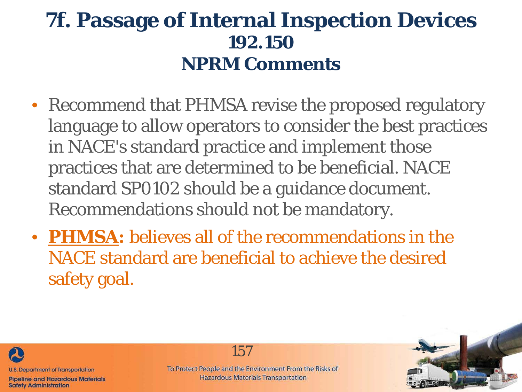# **7f. Passage of Internal Inspection Devices 192.150 NPRM Comments**

- Recommend that PHMSA revise the proposed regulatory language to allow operators to consider the best practices in NACE's standard practice and implement those practices that are determined to be beneficial. NACE standard SP0102 should be a guidance document. Recommendations should not be mandatory.
- **PHMSA:** believes all of the recommendations in the NACE standard are beneficial to achieve the desired safety goal.



**Safety Administration** 

157

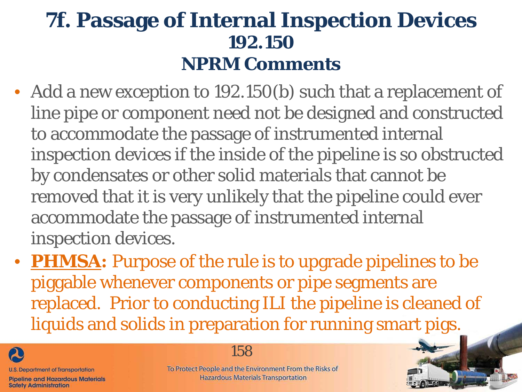# **7f. Passage of Internal Inspection Devices 192.150 NPRM Comments**

- Add a new exception to 192.150(b) such that a replacement of line pipe or component need not be designed and constructed to accommodate the passage of instrumented internal inspection devices if the inside of the pipeline is so obstructed by condensates or other solid materials that cannot be removed that it is very unlikely that the pipeline could ever accommodate the passage of instrumented internal inspection devices.
- **PHMSA:** Purpose of the rule is to upgrade pipelines to be piggable whenever components or pipe segments are replaced. Prior to conducting ILI the pipeline is cleaned of liquids and solids in preparation for running smart pigs.



**Safety Administration** 

158

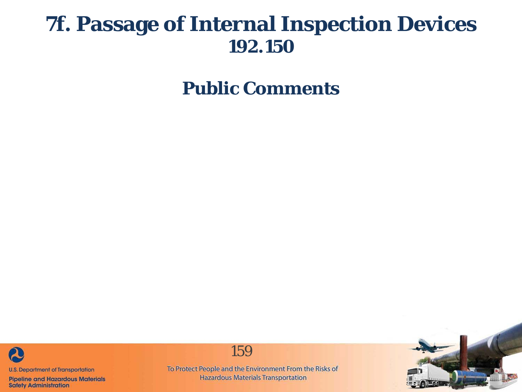## **7f. Passage of Internal Inspection Devices 192.150**

**Public Comments**



**Pipeline and Hazardous Materials Safety Administration** 



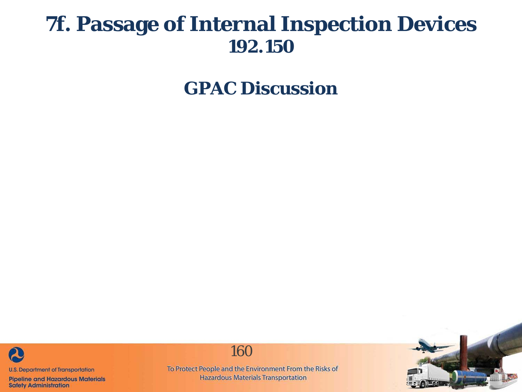## **7f. Passage of Internal Inspection Devices 192.150**

**GPAC Discussion**



**Pipeline and Hazardous Materials Safety Administration**